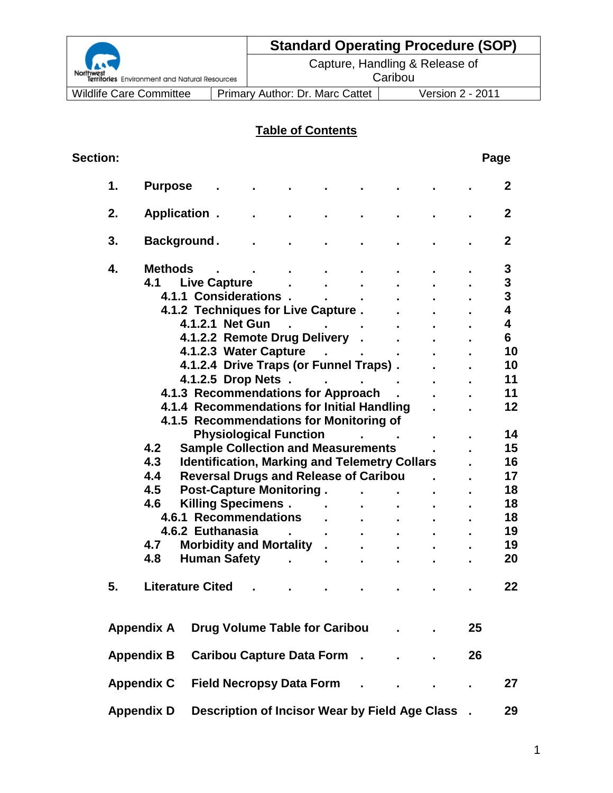| Northwest<br>Territories Environ |  |
|----------------------------------|--|

# **Standard Operating Procedure (SOP)**

Capture, Handling & Release of **Caribou** 

ment and Natural Resources

Wildlife Care Committee | Primary Author: Dr. Marc Cattet | Version 2 - 2011

# **Table of Contents**

| <b>Section:</b> |                   |                                                      |                                                 |                          |                       |                                           |  |    | Page                    |
|-----------------|-------------------|------------------------------------------------------|-------------------------------------------------|--------------------------|-----------------------|-------------------------------------------|--|----|-------------------------|
| 1.              | <b>Purpose</b>    |                                                      |                                                 |                          |                       |                                           |  |    | $\mathbf{2}$            |
| 2.              |                   | Application.                                         |                                                 |                          |                       |                                           |  |    | $\mathbf{2}$            |
| 3.              |                   | Background.                                          |                                                 |                          |                       |                                           |  |    | $\mathbf{2}$            |
| 4.              | <b>Methods</b>    |                                                      |                                                 |                          |                       |                                           |  |    | 3                       |
|                 | 4.1               | <b>Live Capture</b>                                  |                                                 |                          |                       |                                           |  |    | 3                       |
|                 |                   | 4.1.1 Considerations.                                |                                                 |                          |                       |                                           |  |    | $\mathbf{3}$            |
|                 |                   | 4.1.2 Techniques for Live Capture.                   |                                                 |                          |                       |                                           |  |    | $\overline{\mathbf{4}}$ |
|                 |                   | 4.1.2.1 Net Gun                                      |                                                 |                          | and the contract of   |                                           |  |    | $\overline{\mathbf{4}}$ |
|                 |                   | 4.1.2.2 Remote Drug Delivery .                       |                                                 |                          |                       |                                           |  |    | 6                       |
|                 |                   | 4.1.2.3 Water Capture                                |                                                 |                          |                       | $\Delta \phi = 0.0000$ and $\phi = 0.000$ |  |    | 10                      |
|                 |                   | 4.1.2.4 Drive Traps (or Funnel Traps).               |                                                 |                          |                       |                                           |  |    | 10                      |
|                 |                   | 4.1.2.5 Drop Nets                                    |                                                 |                          |                       |                                           |  |    | 11                      |
|                 |                   | 4.1.3 Recommendations for Approach.                  |                                                 |                          |                       |                                           |  |    | 11                      |
|                 |                   | 4.1.4 Recommendations for Initial Handling           |                                                 |                          |                       |                                           |  |    | 12                      |
|                 |                   | 4.1.5 Recommendations for Monitoring of              |                                                 |                          |                       |                                           |  |    |                         |
|                 |                   |                                                      | <b>Physiological Function</b>                   |                          |                       | <b>Contract Contract</b>                  |  |    | 14                      |
|                 | 4.2               | <b>Sample Collection and Measurements</b>            |                                                 |                          |                       |                                           |  |    | 15                      |
|                 | 4.3               | <b>Identification, Marking and Telemetry Collars</b> |                                                 |                          |                       |                                           |  |    | 16                      |
|                 | 4.4               | <b>Reversal Drugs and Release of Caribou</b>         |                                                 |                          |                       |                                           |  |    | 17                      |
|                 | 4.5               | <b>Post-Capture Monitoring.</b>                      |                                                 |                          |                       |                                           |  |    | 18                      |
|                 | 4.6               | Killing Specimens . The Last                         |                                                 |                          |                       |                                           |  |    | 18                      |
|                 |                   | 4.6.1 Recommendations                                |                                                 |                          | $\mathbf{r}$          |                                           |  |    | 18                      |
|                 |                   | 4.6.2 Euthanasia                                     |                                                 |                          |                       |                                           |  |    | 19                      |
|                 | 4.7               | <b>Morbidity and Mortality .</b>                     |                                                 |                          | $\mathbf{r}$          |                                           |  |    | 19                      |
|                 | 4.8               | <b>Human Safety</b>                                  |                                                 | <b>Contract Contract</b> |                       |                                           |  |    | 20                      |
|                 |                   |                                                      |                                                 |                          | $\mathbf{r}^{\prime}$ | ä.                                        |  |    |                         |
| 5.              |                   | <b>Literature Cited</b>                              |                                                 |                          |                       |                                           |  |    | 22                      |
|                 | <b>Appendix A</b> |                                                      | <b>Drug Volume Table for Caribou</b>            |                          |                       |                                           |  | 25 |                         |
|                 | <b>Appendix B</b> |                                                      | <b>Caribou Capture Data Form .</b>              |                          |                       |                                           |  | 26 |                         |
|                 | <b>Appendix C</b> |                                                      | <b>Field Necropsy Data Form</b>                 |                          |                       |                                           |  |    | 27                      |
|                 | <b>Appendix D</b> |                                                      | Description of Incisor Wear by Field Age Class. |                          |                       |                                           |  |    | 29                      |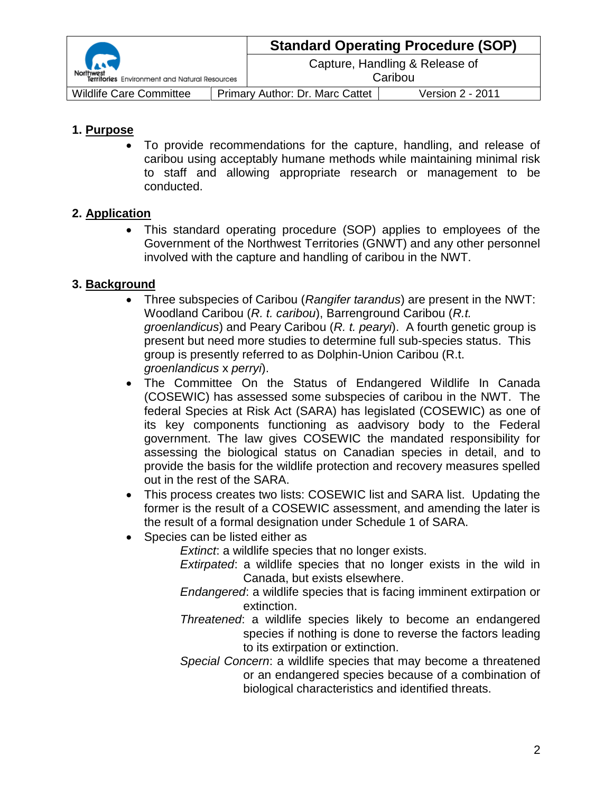|                                               |  | <b>Standard Operating Procedure (SOP)</b> |                                           |  |
|-----------------------------------------------|--|-------------------------------------------|-------------------------------------------|--|
| Territories Environment and Natural Resources |  |                                           | Capture, Handling & Release of<br>Caribou |  |
| <b>Wildlife Care Committee</b>                |  | <b>Primary Author: Dr. Marc Cattet</b>    | Version 2 - 2011                          |  |

## **1. Purpose**

 To provide recommendations for the capture, handling, and release of caribou using acceptably humane methods while maintaining minimal risk to staff and allowing appropriate research or management to be conducted.

## **2. Application**

 This standard operating procedure (SOP) applies to employees of the Government of the Northwest Territories (GNWT) and any other personnel involved with the capture and handling of caribou in the NWT.

## **3. Background**

- Three subspecies of Caribou (*Rangifer tarandus*) are present in the NWT: Woodland Caribou (*R. t. caribou*), Barrenground Caribou (*R.t. groenlandicus*) and Peary Caribou (*R. t. pearyi*). A fourth genetic group is present but need more studies to determine full sub-species status. This group is presently referred to as Dolphin-Union Caribou (R.t. *groenlandicus* x *perryi*).
- The Committee On the Status of Endangered Wildlife In Canada (COSEWIC) has assessed some subspecies of caribou in the NWT. The federal Species at Risk Act (SARA) has legislated (COSEWIC) as one of its key components functioning as aadvisory body to the Federal government. The law gives COSEWIC the mandated responsibility for assessing the biological status on Canadian species in detail, and to provide the basis for the wildlife protection and recovery measures spelled out in the rest of the SARA.
- This process creates two lists: COSEWIC list and SARA list. Updating the former is the result of a COSEWIC assessment, and amending the later is the result of a formal designation under Schedule 1 of SARA.
- Species can be listed either as

*Extinct*: a wildlife species that no longer exists.

*Extirpated*: a wildlife species that no longer exists in the wild in Canada, but exists elsewhere.

*Endangered*: a wildlife species that is facing imminent extirpation or extinction.

- *Threatened*: a wildlife species likely to become an endangered species if nothing is done to reverse the factors leading to its extirpation or extinction.
- *Special Concern*: a wildlife species that may become a threatened or an endangered species because of a combination of biological characteristics and identified threats.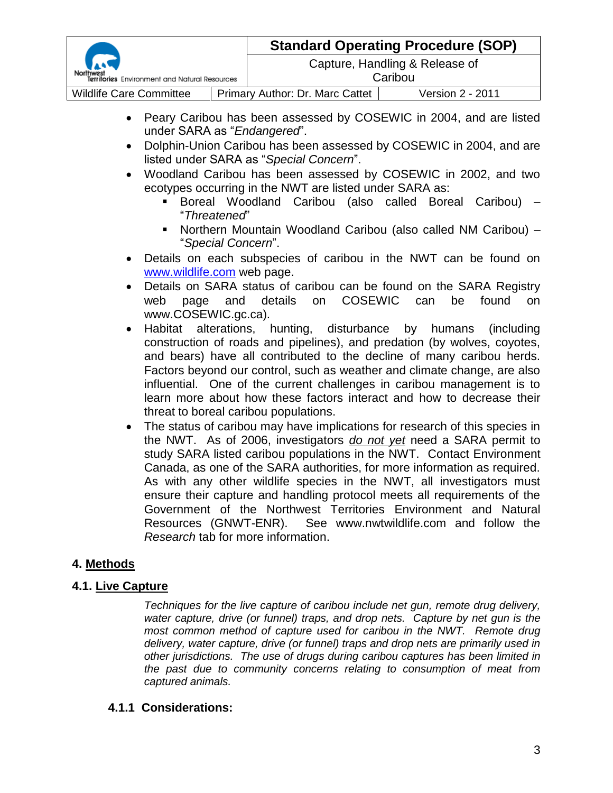| Territories Environment and Natural Resources |  |                                           | <b>Standard Operating Procedure (SOP)</b> |
|-----------------------------------------------|--|-------------------------------------------|-------------------------------------------|
|                                               |  | Capture, Handling & Release of<br>Caribou |                                           |
| <b>Wildlife Care Committee</b>                |  | Primary Author: Dr. Marc Cattet           | Version 2 - 2011                          |

- Peary Caribou has been assessed by COSEWIC in 2004, and are listed under SARA as "*Endangered*".
- Dolphin-Union Caribou has been assessed by COSEWIC in 2004, and are listed under SARA as "*Special Concern*".
- Woodland Caribou has been assessed by COSEWIC in 2002, and two ecotypes occurring in the NWT are listed under SARA as:
	- Boreal Woodland Caribou (also called Boreal Caribou) "*Threatened*"
	- Northern Mountain Woodland Caribou (also called NM Caribou) "*Special Concern*".
- Details on each subspecies of caribou in the NWT can be found on [www.wildlife.com](http://www.wildlife.com/) web page.
- Details on SARA status of caribou can be found on the SARA Registry web page and details on COSEWIC can be found on www.COSEWIC.gc.ca).
- Habitat alterations, hunting, disturbance by humans (including construction of roads and pipelines), and predation (by wolves, coyotes, and bears) have all contributed to the decline of many caribou herds. Factors beyond our control, such as weather and climate change, are also influential. One of the current challenges in caribou management is to learn more about how these factors interact and how to decrease their threat to boreal caribou populations.
- The status of caribou may have implications for research of this species in the NWT. As of 2006, investigators *do not yet* need a SARA permit to study SARA listed caribou populations in the NWT. Contact Environment Canada, as one of the SARA authorities, for more information as required. As with any other wildlife species in the NWT, all investigators must ensure their capture and handling protocol meets all requirements of the Government of the Northwest Territories Environment and Natural Resources (GNWT-ENR). See www.nwtwildlife.com and follow the *Research* tab for more information.

## **4. Methods**

## **4.1. Live Capture**

*Techniques for the live capture of caribou include net gun, remote drug delivery, water capture, drive (or funnel) traps, and drop nets. Capture by net gun is the most common method of capture used for caribou in the NWT. Remote drug delivery, water capture, drive (or funnel) traps and drop nets are primarily used in other jurisdictions. The use of drugs during caribou captures has been limited in the past due to community concerns relating to consumption of meat from captured animals.*

## **4.1.1 Considerations:**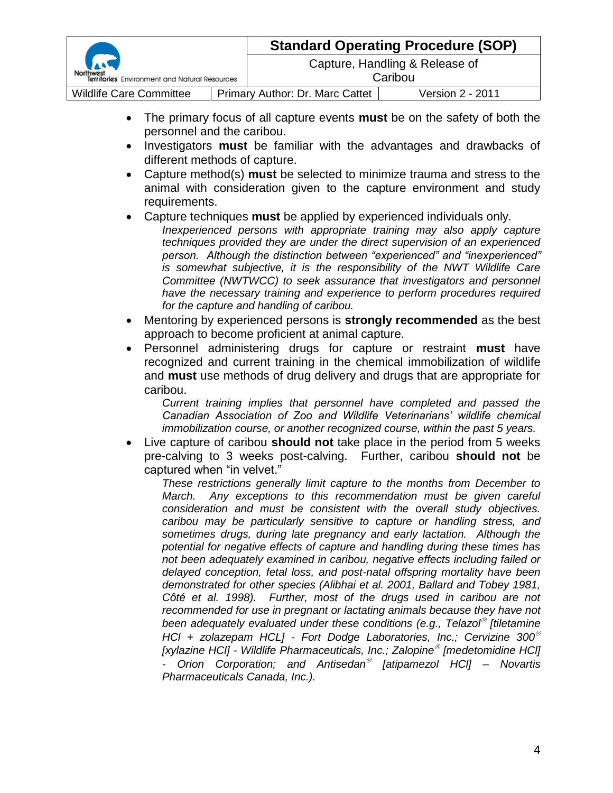| Territories Environment and Natural Resources |  |                                           | <b>Standard Operating Procedure (SOP)</b> |
|-----------------------------------------------|--|-------------------------------------------|-------------------------------------------|
|                                               |  | Capture, Handling & Release of<br>Caribou |                                           |
| <b>Wildlife Care Committee</b>                |  | Primary Author: Dr. Marc Cattet           | <b>Version 2 - 2011</b>                   |

- The primary focus of all capture events **must** be on the safety of both the personnel and the caribou.
- Investigators **must** be familiar with the advantages and drawbacks of different methods of capture.
- Capture method(s) **must** be selected to minimize trauma and stress to the animal with consideration given to the capture environment and study requirements.
- Capture techniques **must** be applied by experienced individuals only.
	- *Inexperienced persons with appropriate training may also apply capture techniques provided they are under the direct supervision of an experienced person. Although the distinction between "experienced" and "inexperienced" is somewhat subjective, it is the responsibility of the NWT Wildlife Care Committee (NWTWCC) to seek assurance that investigators and personnel have the necessary training and experience to perform procedures required for the capture and handling of caribou.*
- Mentoring by experienced persons is **strongly recommended** as the best approach to become proficient at animal capture.
- Personnel administering drugs for capture or restraint **must** have recognized and current training in the chemical immobilization of wildlife and **must** use methods of drug delivery and drugs that are appropriate for caribou.

*Current training implies that personnel have completed and passed the Canadian Association of Zoo and Wildlife Veterinarians' wildlife chemical immobilization course, or another recognized course, within the past 5 years.*

 Live capture of caribou **should not** take place in the period from 5 weeks pre-calving to 3 weeks post-calving. Further, caribou **should not** be captured when "in velvet."

*These restrictions generally limit capture to the months from December to March. Any exceptions to this recommendation must be given careful consideration and must be consistent with the overall study objectives. caribou may be particularly sensitive to capture or handling stress, and sometimes drugs, during late pregnancy and early lactation. Although the potential for negative effects of capture and handling during these times has not been adequately examined in caribou, negative effects including failed or delayed conception, fetal loss, and post-natal offspring mortality have been demonstrated for other species (Alibhai et al. 2001, Ballard and Tobey 1981,*  Côté et al. 1998). Further, most of the drugs used in caribou are not recommended for use in pregnant or lactating animals because they have not *been adequately evaluated under these conditions (e.g., Telazol [tiletamine HCl + zolazepam HCL] - Fort Dodge Laboratories, Inc.; Cervizine 300 [xylazine HCl] - Wildlife Pharmaceuticals, Inc.; Zalopine [medetomidine HCl] - Orion Corporation; and Antisedan [atipamezol HCl] – Novartis Pharmaceuticals Canada, Inc.).*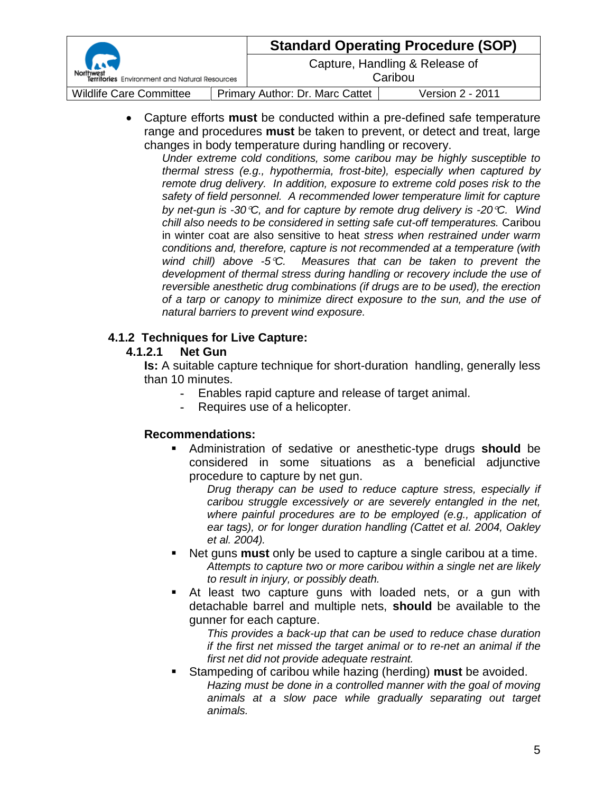|                                                       |  | <b>Standard Operating Procedure (SOP)</b> |                                           |  |
|-------------------------------------------------------|--|-------------------------------------------|-------------------------------------------|--|
| r. a<br>Territories Environment and Natural Resources |  |                                           | Capture, Handling & Release of<br>Caribou |  |
| <b>Wildlife Care Committee</b>                        |  | Primary Author: Dr. Marc Cattet           | Version 2 - 2011                          |  |

 Capture efforts **must** be conducted within a pre-defined safe temperature range and procedures **must** be taken to prevent, or detect and treat, large changes in body temperature during handling or recovery.

*Under extreme cold conditions, some caribou may be highly susceptible to thermal stress (e.g., hypothermia, frost-bite), especially when captured by remote drug delivery. In addition, exposure to extreme cold poses risk to the safety of field personnel. A recommended lower temperature limit for capture by net-gun is -30C, and for capture by remote drug delivery is -20C. Wind chill also needs to be considered in setting safe cut-off temperatures.* Caribou in winter coat are also sensitive to heat *stress when restrained under warm conditions and, therefore, capture is not recommended at a temperature (with wind chill) above -5C. Measures that can be taken to prevent the development of thermal stress during handling or recovery include the use of reversible anesthetic drug combinations (if drugs are to be used), the erection of a tarp or canopy to minimize direct exposure to the sun, and the use of natural barriers to prevent wind exposure.*

#### **4.1.2 Techniques for Live Capture:**

#### **4.1.2.1 Net Gun**

**Is:** A suitable capture technique for short-duration handling, generally less than 10 minutes.

- **-** Enables rapid capture and release of target animal.
	- **-** Requires use of a helicopter.

## **Recommendations:**

 Administration of sedative or anesthetic-type drugs **should** be considered in some situations as a beneficial adjunctive procedure to capture by net gun.

*Drug therapy can be used to reduce capture stress, especially if caribou struggle excessively or are severely entangled in the net, where painful procedures are to be employed (e.g., application of ear tags), or for longer duration handling (Cattet et al. 2004, Oakley et al. 2004).*

- Net guns **must** only be used to capture a single caribou at a time. *Attempts to capture two or more caribou within a single net are likely to result in injury, or possibly death.*
- At least two capture guns with loaded nets, or a gun with detachable barrel and multiple nets, **should** be available to the gunner for each capture.

*This provides a back-up that can be used to reduce chase duration if the first net missed the target animal or to re-net an animal if the first net did not provide adequate restraint.*

 Stampeding of caribou while hazing (herding) **must** be avoided. *Hazing must be done in a controlled manner with the goal of moving animals at a slow pace while gradually separating out target animals.*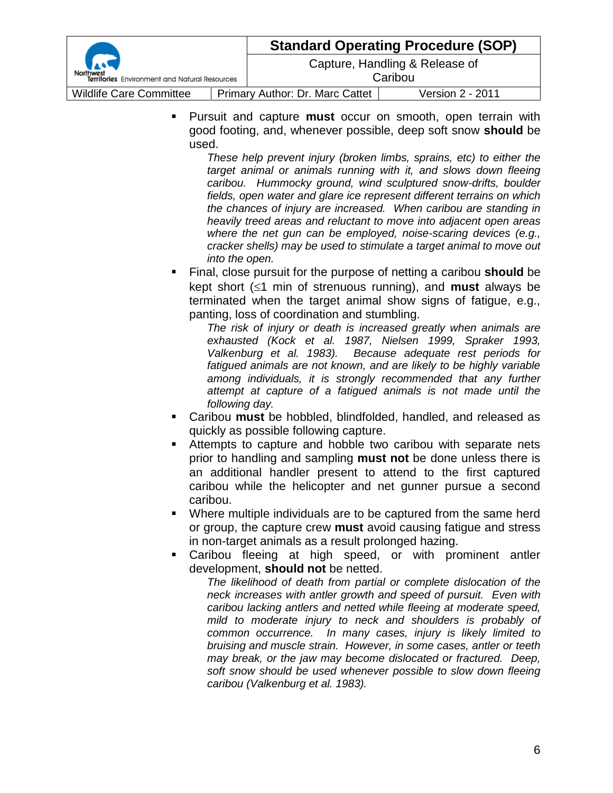| Territories Environment and Natural Resources |  |                                           | <b>Standard Operating Procedure (SOP)</b> |
|-----------------------------------------------|--|-------------------------------------------|-------------------------------------------|
|                                               |  | Capture, Handling & Release of<br>Caribou |                                           |
|                                               |  |                                           |                                           |
| <b>Wildlife Care Committee</b>                |  | Primary Author: Dr. Marc Cattet           | Version 2 - 2011                          |

 Pursuit and capture **must** occur on smooth, open terrain with good footing, and, whenever possible, deep soft snow **should** be used.

> *These help prevent injury (broken limbs, sprains, etc) to either the target animal or animals running with it, and slows down fleeing caribou. Hummocky ground, wind sculptured snow-drifts, boulder fields, open water and glare ice represent different terrains on which the chances of injury are increased. When caribou are standing in heavily treed areas and reluctant to move into adjacent open areas where the net gun can be employed, noise-scaring devices (e.g., cracker shells) may be used to stimulate a target animal to move out into the open.*

 Final, close pursuit for the purpose of netting a caribou **should** be kept short  $(\leq 1$  min of strenuous running), and **must** always be terminated when the target animal show signs of fatigue, e.g., panting, loss of coordination and stumbling.

*The risk of injury or death is increased greatly when animals are exhausted (Kock et al. 1987, Nielsen 1999, Spraker 1993, Valkenburg et al. 1983). Because adequate rest periods for fatigued animals are not known, and are likely to be highly variable among individuals, it is strongly recommended that any further attempt at capture of a fatigued animals is not made until the following day.*

- Caribou **must** be hobbled, blindfolded, handled, and released as quickly as possible following capture.
- Attempts to capture and hobble two caribou with separate nets prior to handling and sampling **must not** be done unless there is an additional handler present to attend to the first captured caribou while the helicopter and net gunner pursue a second caribou.
- Where multiple individuals are to be captured from the same herd or group, the capture crew **must** avoid causing fatigue and stress in non-target animals as a result prolonged hazing.
- Caribou fleeing at high speed, or with prominent antler development, **should not** be netted.

*The likelihood of death from partial or complete dislocation of the neck increases with antler growth and speed of pursuit. Even with caribou lacking antlers and netted while fleeing at moderate speed, mild to moderate injury to neck and shoulders is probably of common occurrence. In many cases, injury is likely limited to bruising and muscle strain. However, in some cases, antler or teeth may break, or the jaw may become dislocated or fractured. Deep, soft snow should be used whenever possible to slow down fleeing caribou (Valkenburg et al. 1983).*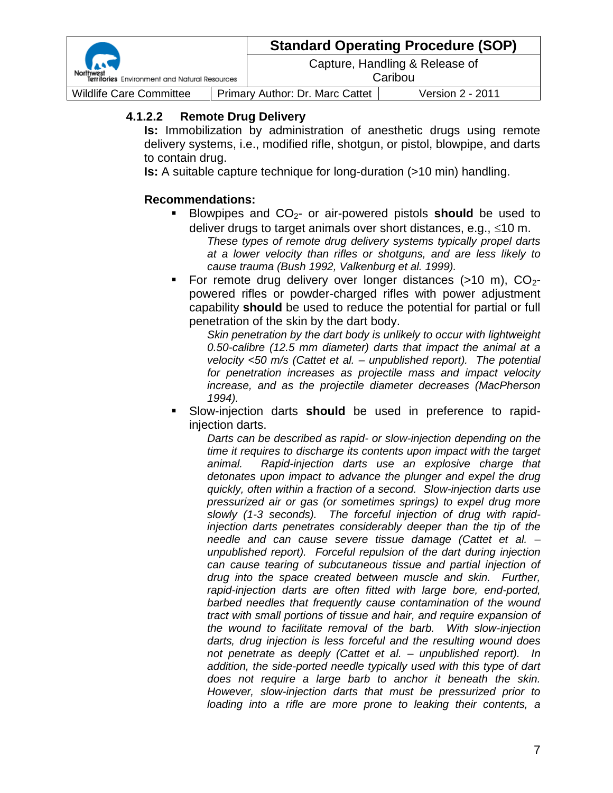| <b>Reduction</b><br>Territories Environment and Natural Resources |  | <b>Standard Operating Procedure (SOP)</b> |                                           |  |
|-------------------------------------------------------------------|--|-------------------------------------------|-------------------------------------------|--|
|                                                                   |  |                                           | Capture, Handling & Release of<br>Caribou |  |
| <b>Wildlife Care Committee</b>                                    |  | Primary Author: Dr. Marc Cattet           | Version 2 - 2011                          |  |

#### **4.1.2.2 Remote Drug Delivery**

**Is:** Immobilization by administration of anesthetic drugs using remote delivery systems, i.e., modified rifle, shotgun, or pistol, blowpipe, and darts to contain drug.

**Is:** A suitable capture technique for long-duration (>10 min) handling.

#### **Recommendations:**

- **Blowpipes and CO<sub>2</sub>- or air-powered pistols should** be used to deliver drugs to target animals over short distances, e.g.,  $\leq 10$  m.
	- *These types of remote drug delivery systems typically propel darts at a lower velocity than rifles or shotguns, and are less likely to cause trauma (Bush 1992, Valkenburg et al. 1999).*
- For remote drug delivery over longer distances ( $>10$  m),  $CO_{2}$ powered rifles or powder-charged rifles with power adjustment capability **should** be used to reduce the potential for partial or full penetration of the skin by the dart body.

*Skin penetration by the dart body is unlikely to occur with lightweight 0.50-calibre (12.5 mm diameter) darts that impact the animal at a velocity <50 m/s (Cattet et al. – unpublished report). The potential for penetration increases as projectile mass and impact velocity increase, and as the projectile diameter decreases (MacPherson 1994).*

 Slow-injection darts **should** be used in preference to rapidinjection darts.

*Darts can be described as rapid- or slow-injection depending on the time it requires to discharge its contents upon impact with the target animal. Rapid-injection darts use an explosive charge that detonates upon impact to advance the plunger and expel the drug quickly, often within a fraction of a second. Slow-injection darts use pressurized air or gas (or sometimes springs) to expel drug more slowly (1-3 seconds). The forceful injection of drug with rapidinjection darts penetrates considerably deeper than the tip of the needle and can cause severe tissue damage (Cattet et al. – unpublished report). Forceful repulsion of the dart during injection can cause tearing of subcutaneous tissue and partial injection of drug into the space created between muscle and skin. Further, rapid-injection darts are often fitted with large bore, end-ported, barbed needles that frequently cause contamination of the wound tract with small portions of tissue and hair, and require expansion of the wound to facilitate removal of the barb. With slow-injection darts, drug injection is less forceful and the resulting wound does not penetrate as deeply (Cattet et al. – unpublished report). In addition, the side-ported needle typically used with this type of dart does not require a large barb to anchor it beneath the skin. However, slow-injection darts that must be pressurized prior to*  loading into a rifle are more prone to leaking their contents, a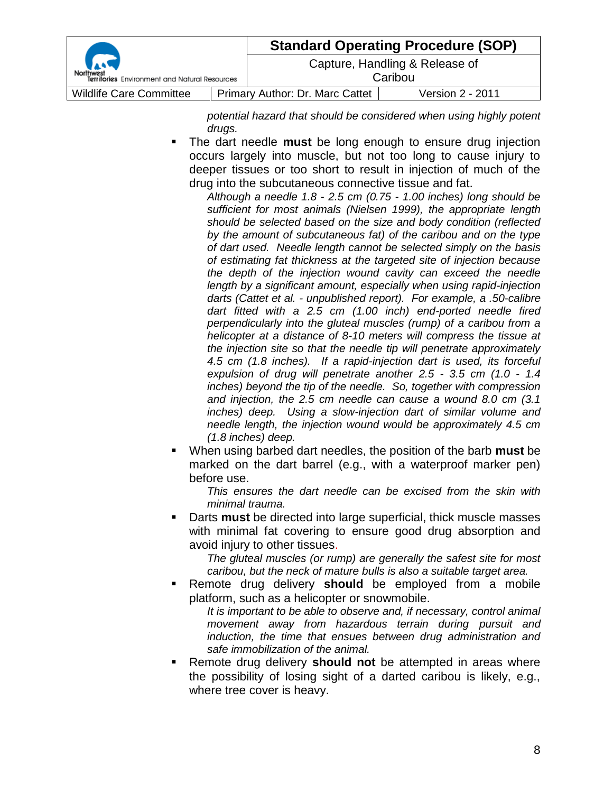|                                               |  | <b>Standard Operating Procedure (SOP)</b> |                                           |  |
|-----------------------------------------------|--|-------------------------------------------|-------------------------------------------|--|
| Territories Environment and Natural Resources |  |                                           | Capture, Handling & Release of<br>Caribou |  |
| <b>Wildlife Care Committee</b>                |  | Primary Author: Dr. Marc Cattet           | Version 2 - 2011                          |  |

*potential hazard that should be considered when using highly potent drugs.*

- The dart needle **must** be long enough to ensure drug injection occurs largely into muscle, but not too long to cause injury to deeper tissues or too short to result in injection of much of the drug into the subcutaneous connective tissue and fat.
	- *Although a needle 1.8 - 2.5 cm (0.75 - 1.00 inches) long should be sufficient for most animals (Nielsen 1999), the appropriate length should be selected based on the size and body condition (reflected by the amount of subcutaneous fat) of the caribou and on the type of dart used. Needle length cannot be selected simply on the basis of estimating fat thickness at the targeted site of injection because the depth of the injection wound cavity can exceed the needle length by a significant amount, especially when using rapid-injection darts (Cattet et al. - unpublished report). For example, a .50-calibre dart fitted with a 2.5 cm (1.00 inch) end-ported needle fired perpendicularly into the gluteal muscles (rump) of a caribou from a helicopter at a distance of 8-10 meters will compress the tissue at the injection site so that the needle tip will penetrate approximately 4.5 cm (1.8 inches). If a rapid-injection dart is used, its forceful expulsion of drug will penetrate another 2.5 - 3.5 cm (1.0 - 1.4 inches) beyond the tip of the needle. So, together with compression and injection, the 2.5 cm needle can cause a wound 8.0 cm (3.1 inches) deep. Using a slow-injection dart of similar volume and needle length, the injection wound would be approximately 4.5 cm (1.8 inches) deep.*
- When using barbed dart needles, the position of the barb **must** be marked on the dart barrel (e.g., with a waterproof marker pen) before use.

*This ensures the dart needle can be excised from the skin with minimal trauma.*

 Darts **must** be directed into large superficial, thick muscle masses with minimal fat covering to ensure good drug absorption and avoid injury to other tissues.

*The gluteal muscles (or rump) are generally the safest site for most caribou, but the neck of mature bulls is also a suitable target area.*

 Remote drug delivery **should** be employed from a mobile platform, such as a helicopter or snowmobile.

*It is important to be able to observe and, if necessary, control animal movement away from hazardous terrain during pursuit and induction, the time that ensues between drug administration and safe immobilization of the animal.*

 Remote drug delivery **should not** be attempted in areas where the possibility of losing sight of a darted caribou is likely, e.g., where tree cover is heavy.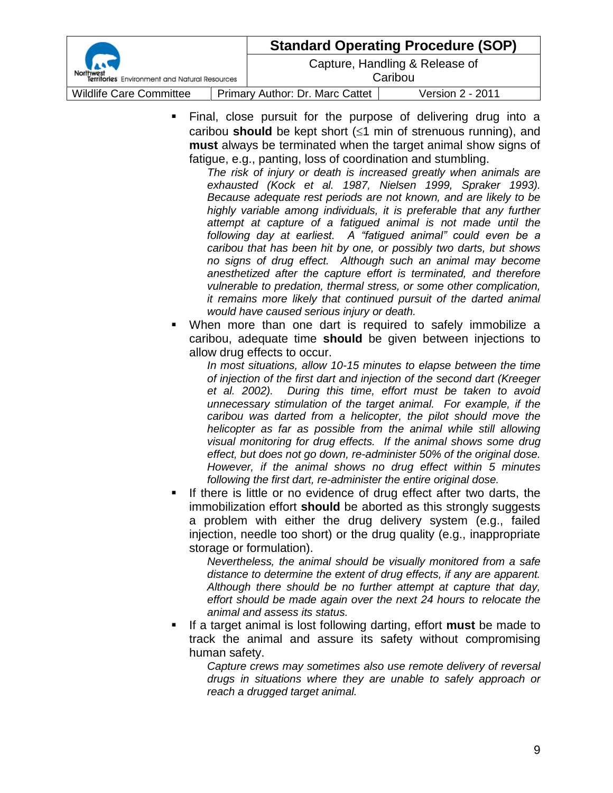| Territories Environment and Natural Resources |  | <b>Standard Operating Procedure (SOP)</b> |                  |  |
|-----------------------------------------------|--|-------------------------------------------|------------------|--|
|                                               |  | Capture, Handling & Release of<br>Caribou |                  |  |
| <b>Wildlife Care Committee</b>                |  | Primary Author: Dr. Marc Cattet           | Version 2 - 2011 |  |

 Final, close pursuit for the purpose of delivering drug into a caribou **should** be kept short  $(\leq 1 \text{ min of streamuous running})$ , and **must** always be terminated when the target animal show signs of fatigue, e.g., panting, loss of coordination and stumbling.

*The risk of injury or death is increased greatly when animals are exhausted (Kock et al. 1987, Nielsen 1999, Spraker 1993). Because adequate rest periods are not known, and are likely to be highly variable among individuals, it is preferable that any further attempt at capture of a fatigued animal is not made until the following day at earliest. A "fatigued animal" could even be a caribou that has been hit by one, or possibly two darts, but shows no signs of drug effect. Although such an animal may become anesthetized after the capture effort is terminated, and therefore vulnerable to predation, thermal stress, or some other complication, it remains more likely that continued pursuit of the darted animal would have caused serious injury or death.*

 When more than one dart is required to safely immobilize a caribou, adequate time **should** be given between injections to allow drug effects to occur.

*In most situations, allow 10-15 minutes to elapse between the time of injection of the first dart and injection of the second dart (Kreeger et al. 2002). During this time, effort must be taken to avoid unnecessary stimulation of the target animal. For example, if the caribou was darted from a helicopter, the pilot should move the helicopter as far as possible from the animal while still allowing visual monitoring for drug effects. If the animal shows some drug effect, but does not go down, re-administer 50% of the original dose. However, if the animal shows no drug effect within 5 minutes following the first dart, re-administer the entire original dose.*

 If there is little or no evidence of drug effect after two darts, the immobilization effort **should** be aborted as this strongly suggests a problem with either the drug delivery system (e.g., failed injection, needle too short) or the drug quality (e.g., inappropriate storage or formulation).

*Nevertheless, the animal should be visually monitored from a safe distance to determine the extent of drug effects, if any are apparent. Although there should be no further attempt at capture that day, effort should be made again over the next 24 hours to relocate the animal and assess its status.*

 If a target animal is lost following darting, effort **must** be made to track the animal and assure its safety without compromising human safety.

*Capture crews may sometimes also use remote delivery of reversal drugs in situations where they are unable to safely approach or reach a drugged target animal.*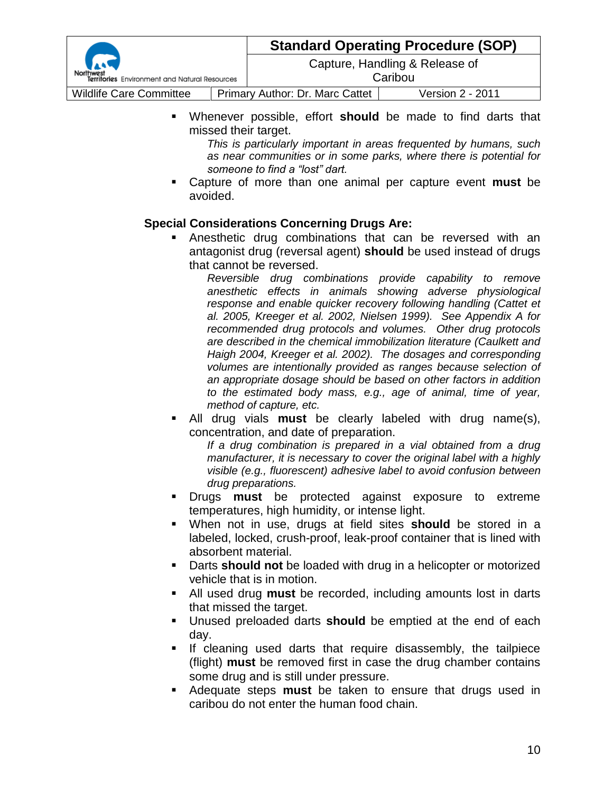|                                               |  | <b>Standard Operating Procedure (SOP)</b> |                  |  |
|-----------------------------------------------|--|-------------------------------------------|------------------|--|
| Territories Environment and Natural Resources |  | Capture, Handling & Release of<br>Caribou |                  |  |
|                                               |  |                                           |                  |  |
| <b>Wildlife Care Committee</b>                |  | Primary Author: Dr. Marc Cattet           | Version 2 - 2011 |  |

 Whenever possible, effort **should** be made to find darts that missed their target.

*This is particularly important in areas frequented by humans, such as near communities or in some parks, where there is potential for someone to find a "lost" dart.*

 Capture of more than one animal per capture event **must** be avoided.

#### **Special Considerations Concerning Drugs Are:**

 Anesthetic drug combinations that can be reversed with an antagonist drug (reversal agent) **should** be used instead of drugs that cannot be reversed.

*Reversible drug combinations provide capability to remove anesthetic effects in animals showing adverse physiological response and enable quicker recovery following handling (Cattet et al. 2005, Kreeger et al. 2002, Nielsen 1999). See Appendix A for recommended drug protocols and volumes. Other drug protocols are described in the chemical immobilization literature (Caulkett and Haigh 2004, Kreeger et al. 2002). The dosages and corresponding volumes are intentionally provided as ranges because selection of an appropriate dosage should be based on other factors in addition to the estimated body mass, e.g., age of animal, time of year, method of capture, etc.*

 All drug vials **must** be clearly labeled with drug name(s), concentration, and date of preparation.

*If a drug combination is prepared in a vial obtained from a drug manufacturer, it is necessary to cover the original label with a highly visible (e.g., fluorescent) adhesive label to avoid confusion between drug preparations.*

- Drugs **must** be protected against exposure to extreme temperatures, high humidity, or intense light.
- When not in use, drugs at field sites **should** be stored in a labeled, locked, crush-proof, leak-proof container that is lined with absorbent material.
- Darts **should not** be loaded with drug in a helicopter or motorized vehicle that is in motion.
- All used drug **must** be recorded, including amounts lost in darts that missed the target.
- Unused preloaded darts **should** be emptied at the end of each day.
- If cleaning used darts that require disassembly, the tailpiece (flight) **must** be removed first in case the drug chamber contains some drug and is still under pressure.
- Adequate steps **must** be taken to ensure that drugs used in caribou do not enter the human food chain.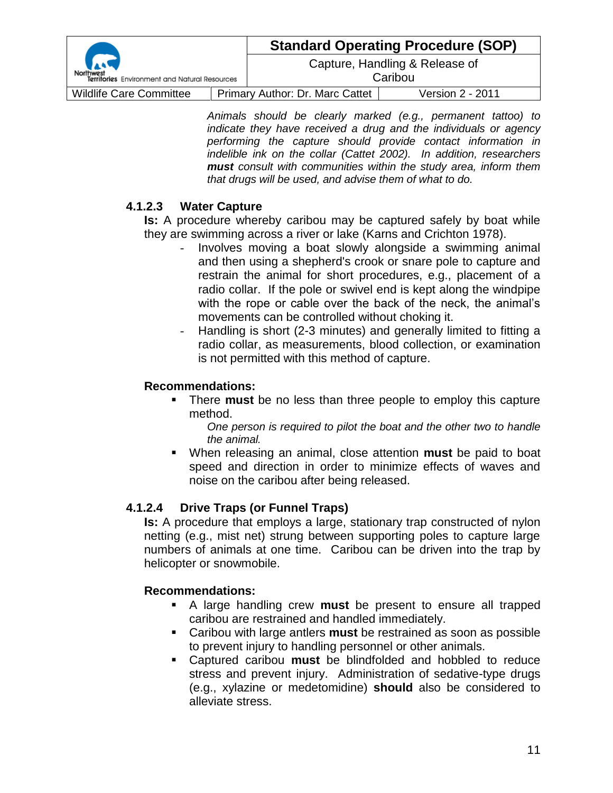| Territories Environment and Natural Resources |  | <b>Standard Operating Procedure (SOP)</b> |                  |  |
|-----------------------------------------------|--|-------------------------------------------|------------------|--|
|                                               |  | Capture, Handling & Release of<br>Caribou |                  |  |
| <b>Wildlife Care Committee</b>                |  | <b>Primary Author: Dr. Marc Cattet</b>    | Version 2 - 2011 |  |

*Animals should be clearly marked (e.g., permanent tattoo) to indicate they have received a drug and the individuals or agency performing the capture should provide contact information in indelible ink on the collar (Cattet 2002). In addition, researchers must consult with communities within the study area, inform them that drugs will be used, and advise them of what to do.*

## **4.1.2.3 Water Capture**

**Is:** A procedure whereby caribou may be captured safely by boat while they are swimming across a river or lake (Karns and Crichton 1978).

- Involves moving a boat slowly alongside a swimming animal and then using a shepherd's crook or snare pole to capture and restrain the animal for short procedures, e.g., placement of a radio collar. If the pole or swivel end is kept along the windpipe with the rope or cable over the back of the neck, the animal's movements can be controlled without choking it.
- Handling is short (2-3 minutes) and generally limited to fitting a radio collar, as measurements, blood collection, or examination is not permitted with this method of capture.

#### **Recommendations:**

 There **must** be no less than three people to employ this capture method.

*One person is required to pilot the boat and the other two to handle the animal.*

 When releasing an animal, close attention **must** be paid to boat speed and direction in order to minimize effects of waves and noise on the caribou after being released.

## **4.1.2.4 Drive Traps (or Funnel Traps)**

**Is:** A procedure that employs a large, stationary trap constructed of nylon netting (e.g., mist net) strung between supporting poles to capture large numbers of animals at one time. Caribou can be driven into the trap by helicopter or snowmobile.

#### **Recommendations:**

- A large handling crew **must** be present to ensure all trapped caribou are restrained and handled immediately.
- Caribou with large antlers **must** be restrained as soon as possible to prevent injury to handling personnel or other animals.
- Captured caribou **must** be blindfolded and hobbled to reduce stress and prevent injury. Administration of sedative-type drugs (e.g., xylazine or medetomidine) **should** also be considered to alleviate stress.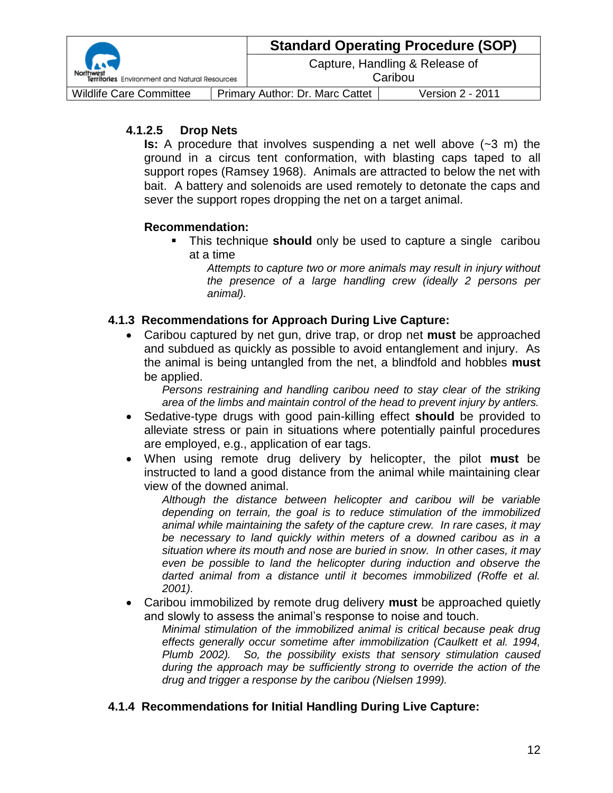| <b>Bandary Street, Square</b><br>Territories Environment and Natural Resources |                                 | <b>Standard Operating Procedure (SOP)</b> |                  |
|--------------------------------------------------------------------------------|---------------------------------|-------------------------------------------|------------------|
|                                                                                |                                 | Capture, Handling & Release of<br>Caribou |                  |
| <b>Wildlife Care Committee</b>                                                 | Primary Author: Dr. Marc Cattet |                                           | Version 2 - 2011 |

## **4.1.2.5 Drop Nets**

**Is:** A procedure that involves suspending a net well above (~3 m) the ground in a circus tent conformation, with blasting caps taped to all support ropes (Ramsey 1968). Animals are attracted to below the net with bait. A battery and solenoids are used remotely to detonate the caps and sever the support ropes dropping the net on a target animal.

## **Recommendation:**

 This technique **should** only be used to capture a single caribou at a time

*Attempts to capture two or more animals may result in injury without the presence of a large handling crew (ideally 2 persons per animal).*

## **4.1.3 Recommendations for Approach During Live Capture:**

 Caribou captured by net gun, drive trap, or drop net **must** be approached and subdued as quickly as possible to avoid entanglement and injury. As the animal is being untangled from the net, a blindfold and hobbles **must** be applied.

*Persons restraining and handling caribou need to stay clear of the striking area of the limbs and maintain control of the head to prevent injury by antlers.*

- Sedative-type drugs with good pain-killing effect **should** be provided to alleviate stress or pain in situations where potentially painful procedures are employed, e.g., application of ear tags.
- When using remote drug delivery by helicopter, the pilot **must** be instructed to land a good distance from the animal while maintaining clear view of the downed animal.

*Although the distance between helicopter and caribou will be variable depending on terrain, the goal is to reduce stimulation of the immobilized animal while maintaining the safety of the capture crew. In rare cases, it may be necessary to land quickly within meters of a downed caribou as in a situation where its mouth and nose are buried in snow. In other cases, it may even be possible to land the helicopter during induction and observe the darted animal from a distance until it becomes immobilized (Roffe et al. 2001).*

 Caribou immobilized by remote drug delivery **must** be approached quietly and slowly to assess the animal's response to noise and touch.

*Minimal stimulation of the immobilized animal is critical because peak drug effects generally occur sometime after immobilization (Caulkett et al. 1994, Plumb 2002). So, the possibility exists that sensory stimulation caused during the approach may be sufficiently strong to override the action of the drug and trigger a response by the caribou (Nielsen 1999).*

## **4.1.4 Recommendations for Initial Handling During Live Capture:**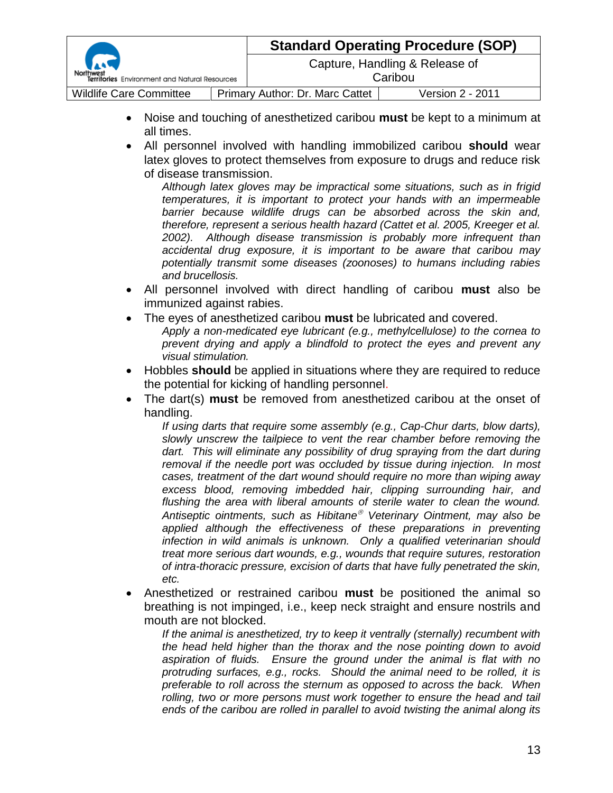|                                               |  | <b>Standard Operating Procedure (SOP)</b> |                                           |
|-----------------------------------------------|--|-------------------------------------------|-------------------------------------------|
| Territories Environment and Natural Resources |  |                                           | Capture, Handling & Release of<br>Caribou |
| <b>Wildlife Care Committee</b>                |  | Primary Author: Dr. Marc Cattet           | Version 2 - 2011                          |

- Noise and touching of anesthetized caribou **must** be kept to a minimum at all times.
- All personnel involved with handling immobilized caribou **should** wear latex gloves to protect themselves from exposure to drugs and reduce risk of disease transmission.

*Although latex gloves may be impractical some situations, such as in frigid temperatures, it is important to protect your hands with an impermeable barrier because wildlife drugs can be absorbed across the skin and, therefore, represent a serious health hazard (Cattet et al. 2005, Kreeger et al. 2002). Although disease transmission is probably more infrequent than accidental drug exposure, it is important to be aware that caribou may potentially transmit some diseases (zoonoses) to humans including rabies and brucellosis.*

- All personnel involved with direct handling of caribou **must** also be immunized against rabies.
- The eyes of anesthetized caribou **must** be lubricated and covered. *Apply a non-medicated eye lubricant (e.g., methylcellulose) to the cornea to prevent drying and apply a blindfold to protect the eyes and prevent any visual stimulation.*
- Hobbles **should** be applied in situations where they are required to reduce the potential for kicking of handling personnel.
- The dart(s) **must** be removed from anesthetized caribou at the onset of handling.

*If using darts that require some assembly (e.g., Cap-Chur darts, blow darts), slowly unscrew the tailpiece to vent the rear chamber before removing the*  dart. This will eliminate any possibility of drug spraying from the dart during *removal if the needle port was occluded by tissue during injection. In most cases, treatment of the dart wound should require no more than wiping away excess blood, removing imbedded hair, clipping surrounding hair, and*  flushing the area with liberal amounts of sterile water to clean the wound. *Antiseptic ointments, such as Hibitane Veterinary Ointment, may also be applied although the effectiveness of these preparations in preventing infection in wild animals is unknown. Only a qualified veterinarian should treat more serious dart wounds, e.g., wounds that require sutures, restoration of intra-thoracic pressure, excision of darts that have fully penetrated the skin, etc.*

 Anesthetized or restrained caribou **must** be positioned the animal so breathing is not impinged, i.e., keep neck straight and ensure nostrils and mouth are not blocked.

*If the animal is anesthetized, try to keep it ventrally (sternally) recumbent with the head held higher than the thorax and the nose pointing down to avoid aspiration of fluids. Ensure the ground under the animal is flat with no protruding surfaces, e.g., rocks. Should the animal need to be rolled, it is preferable to roll across the sternum as opposed to across the back. When rolling, two or more persons must work together to ensure the head and tail ends of the caribou are rolled in parallel to avoid twisting the animal along its*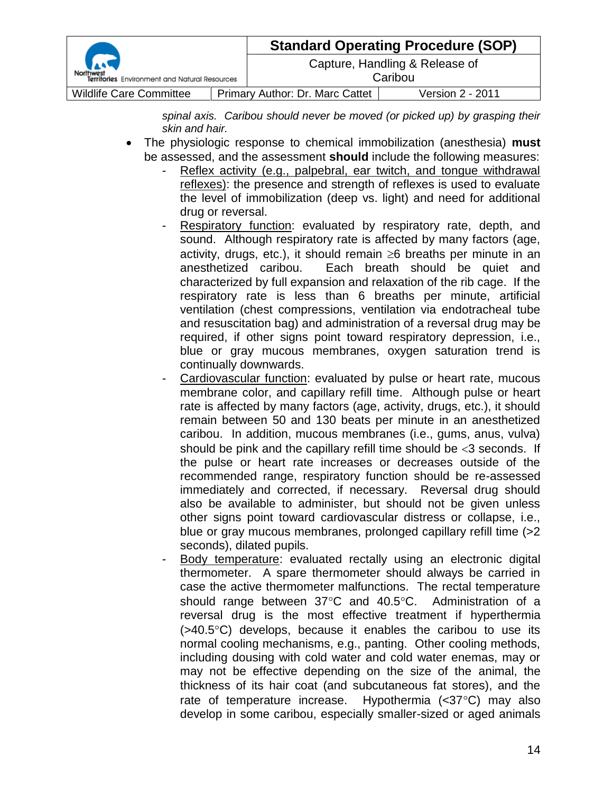| <b>Carl</b><br>Territories Environment and Natural Resources |  | <b>Standard Operating Procedure (SOP)</b> |                  |  |
|--------------------------------------------------------------|--|-------------------------------------------|------------------|--|
|                                                              |  | Capture, Handling & Release of<br>Caribou |                  |  |
| <b>Wildlife Care Committee</b>                               |  | Primary Author: Dr. Marc Cattet           | Version 2 - 2011 |  |

*spinal axis. Caribou should never be moved (or picked up) by grasping their skin and hair.*

- The physiologic response to chemical immobilization (anesthesia) **must** be assessed, and the assessment **should** include the following measures:
	- Reflex activity (e.g., palpebral, ear twitch, and tongue withdrawal reflexes): the presence and strength of reflexes is used to evaluate the level of immobilization (deep vs. light) and need for additional drug or reversal.
	- Respiratory function: evaluated by respiratory rate, depth, and sound. Although respiratory rate is affected by many factors (age, activity, drugs, etc.), it should remain  $\geq 6$  breaths per minute in an anesthetized caribou. Each breath should be quiet and characterized by full expansion and relaxation of the rib cage. If the respiratory rate is less than 6 breaths per minute, artificial ventilation (chest compressions, ventilation via endotracheal tube and resuscitation bag) and administration of a reversal drug may be required, if other signs point toward respiratory depression, i.e., blue or gray mucous membranes, oxygen saturation trend is continually downwards.
	- Cardiovascular function: evaluated by pulse or heart rate, mucous membrane color, and capillary refill time. Although pulse or heart rate is affected by many factors (age, activity, drugs, etc.), it should remain between 50 and 130 beats per minute in an anesthetized caribou. In addition, mucous membranes (i.e., gums, anus, vulva) should be pink and the capillary refill time should be  $<$ 3 seconds. If the pulse or heart rate increases or decreases outside of the recommended range, respiratory function should be re-assessed immediately and corrected, if necessary. Reversal drug should also be available to administer, but should not be given unless other signs point toward cardiovascular distress or collapse, i.e., blue or gray mucous membranes, prolonged capillary refill time (>2 seconds), dilated pupils.
	- Body temperature: evaluated rectally using an electronic digital thermometer. A spare thermometer should always be carried in case the active thermometer malfunctions. The rectal temperature should range between  $37^{\circ}$ C and  $40.5^{\circ}$ C. Administration of a reversal drug is the most effective treatment if hyperthermia  $($ >40.5 $\degree$ C) develops, because it enables the caribou to use its normal cooling mechanisms, e.g., panting. Other cooling methods, including dousing with cold water and cold water enemas, may or may not be effective depending on the size of the animal, the thickness of its hair coat (and subcutaneous fat stores), and the rate of temperature increase. Hypothermia  $\langle$  <37 $\degree$ C) may also develop in some caribou, especially smaller-sized or aged animals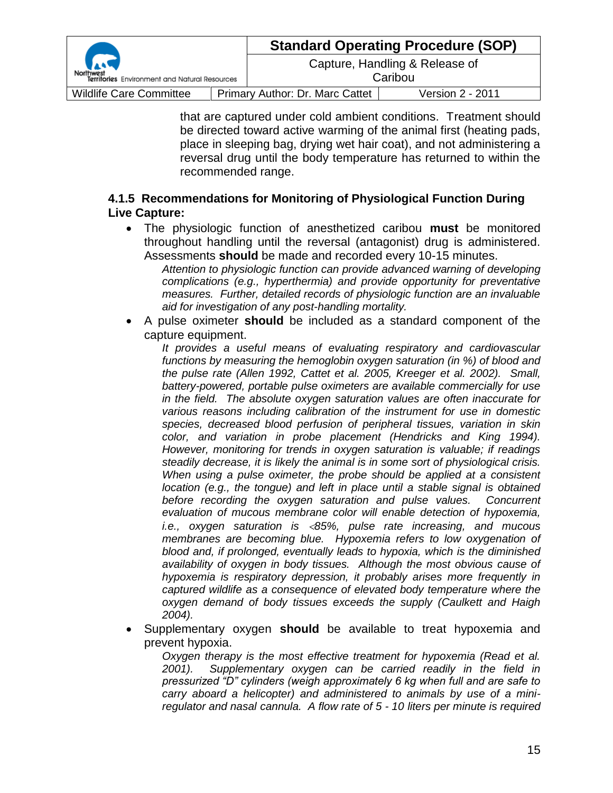| r. J<br>Territories Environment and Natural Resources |                                        | <b>Standard Operating Procedure (SOP)</b> |                  |
|-------------------------------------------------------|----------------------------------------|-------------------------------------------|------------------|
|                                                       |                                        | Capture, Handling & Release of<br>Caribou |                  |
| <b>Wildlife Care Committee</b>                        | <b>Primary Author: Dr. Marc Cattet</b> |                                           | Version 2 - 2011 |

that are captured under cold ambient conditions. Treatment should be directed toward active warming of the animal first (heating pads, place in sleeping bag, drying wet hair coat), and not administering a reversal drug until the body temperature has returned to within the recommended range.

## **4.1.5 Recommendations for Monitoring of Physiological Function During Live Capture:**

 The physiologic function of anesthetized caribou **must** be monitored throughout handling until the reversal (antagonist) drug is administered. Assessments **should** be made and recorded every 10-15 minutes.

*Attention to physiologic function can provide advanced warning of developing complications (e.g., hyperthermia) and provide opportunity for preventative measures. Further, detailed records of physiologic function are an invaluable aid for investigation of any post-handling mortality.*

 A pulse oximeter **should** be included as a standard component of the capture equipment.

*It provides a useful means of evaluating respiratory and cardiovascular functions by measuring the hemoglobin oxygen saturation (in %) of blood and the pulse rate (Allen 1992, Cattet et al. 2005, Kreeger et al. 2002). Small, battery-powered, portable pulse oximeters are available commercially for use in the field. The absolute oxygen saturation values are often inaccurate for various reasons including calibration of the instrument for use in domestic species, decreased blood perfusion of peripheral tissues, variation in skin color, and variation in probe placement (Hendricks and King 1994). However, monitoring for trends in oxygen saturation is valuable; if readings steadily decrease, it is likely the animal is in some sort of physiological crisis. When using a pulse oximeter, the probe should be applied at a consistent location (e.g., the tongue) and left in place until a stable signal is obtained before recording the oxygen saturation and pulse values. Concurrent evaluation of mucous membrane color will enable detection of hypoxemia, i.e., oxygen saturation is 85%, pulse rate increasing, and mucous membranes are becoming blue. Hypoxemia refers to low oxygenation of blood and, if prolonged, eventually leads to hypoxia, which is the diminished availability of oxygen in body tissues. Although the most obvious cause of hypoxemia is respiratory depression, it probably arises more frequently in captured wildlife as a consequence of elevated body temperature where the oxygen demand of body tissues exceeds the supply (Caulkett and Haigh 2004).*

 Supplementary oxygen **should** be available to treat hypoxemia and prevent hypoxia.

*Oxygen therapy is the most effective treatment for hypoxemia (Read et al. 2001). Supplementary oxygen can be carried readily in the field in pressurized "D" cylinders (weigh approximately 6 kg when full and are safe to carry aboard a helicopter) and administered to animals by use of a miniregulator and nasal cannula. A flow rate of 5 - 10 liters per minute is required*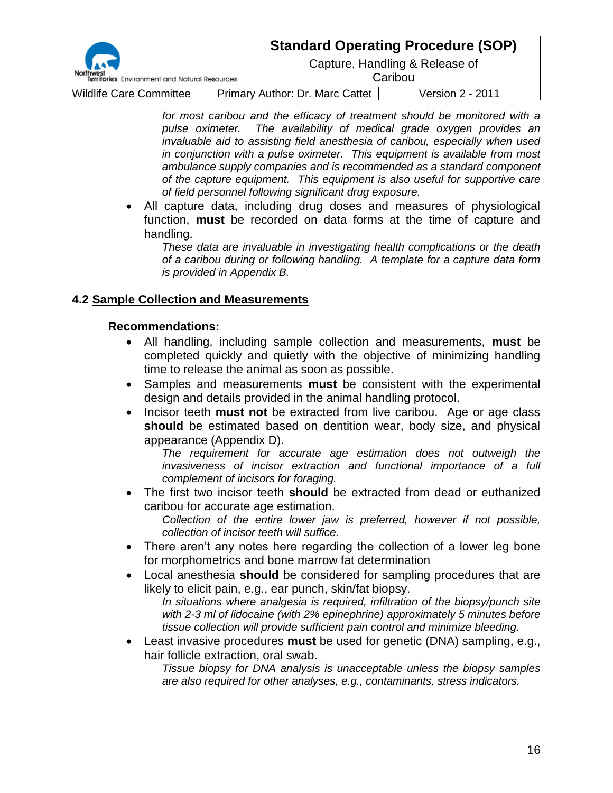|                                               |                                        | <b>Standard Operating Procedure (SOP)</b> |  |  |
|-----------------------------------------------|----------------------------------------|-------------------------------------------|--|--|
| Territories Environment and Natural Resources | Caribou                                | Capture, Handling & Release of            |  |  |
| <b>Wildlife Care Committee</b>                | <b>Primary Author: Dr. Marc Cattet</b> | Version 2 - 2011                          |  |  |

*for most caribou and the efficacy of treatment should be monitored with a pulse oximeter. The availability of medical grade oxygen provides an invaluable aid to assisting field anesthesia of caribou, especially when used in conjunction with a pulse oximeter. This equipment is available from most ambulance supply companies and is recommended as a standard component of the capture equipment. This equipment is also useful for supportive care of field personnel following significant drug exposure.*

 All capture data, including drug doses and measures of physiological function, **must** be recorded on data forms at the time of capture and handling.

*These data are invaluable in investigating health complications or the death of a caribou during or following handling. A template for a capture data form is provided in Appendix B.*

#### **4.2 Sample Collection and Measurements**

#### **Recommendations:**

- All handling, including sample collection and measurements, **must** be completed quickly and quietly with the objective of minimizing handling time to release the animal as soon as possible.
- Samples and measurements **must** be consistent with the experimental design and details provided in the animal handling protocol.
- **Incisor teeth must not** be extracted from live caribou. Age or age class **should** be estimated based on dentition wear, body size, and physical appearance (Appendix D).

*The requirement for accurate age estimation does not outweigh the invasiveness of incisor extraction and functional importance of a full complement of incisors for foraging.*

 The first two incisor teeth **should** be extracted from dead or euthanized caribou for accurate age estimation.

*Collection of the entire lower jaw is preferred, however if not possible, collection of incisor teeth will suffice.*

- There aren't any notes here regarding the collection of a lower leg bone for morphometrics and bone marrow fat determination
- Local anesthesia **should** be considered for sampling procedures that are likely to elicit pain, e.g., ear punch, skin/fat biopsy. *In situations where analgesia is required, infiltration of the biopsy/punch site*

*with 2-3 ml of lidocaine (with 2% epinephrine) approximately 5 minutes before tissue collection will provide sufficient pain control and minimize bleeding.*

 Least invasive procedures **must** be used for genetic (DNA) sampling, e.g., hair follicle extraction, oral swab.

*Tissue biopsy for DNA analysis is unacceptable unless the biopsy samples are also required for other analyses, e.g., contaminants, stress indicators.*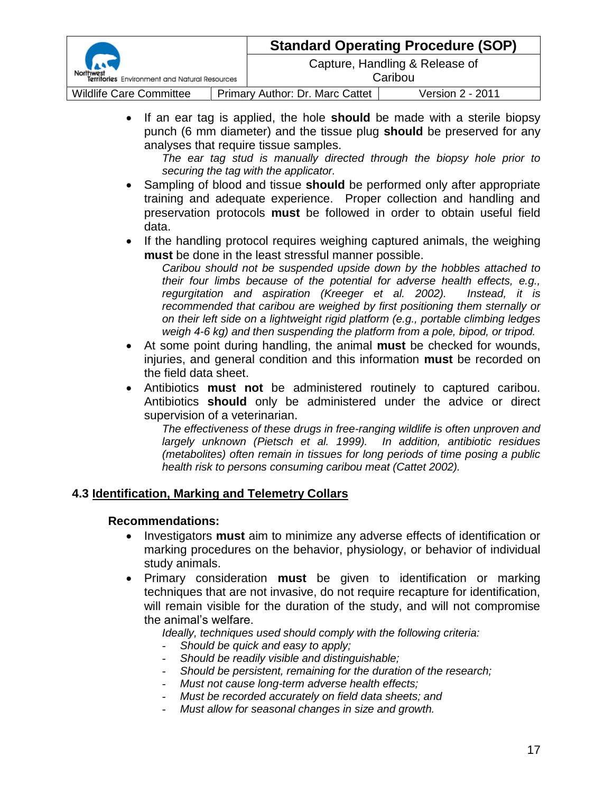| Territories Environment and Natural Resources |  | <b>Standard Operating Procedure (SOP)</b> |                                           |
|-----------------------------------------------|--|-------------------------------------------|-------------------------------------------|
|                                               |  |                                           | Capture, Handling & Release of<br>Caribou |
| <b>Wildlife Care Committee</b>                |  | Primary Author: Dr. Marc Cattet           | <b>Version 2 - 2011</b>                   |

 If an ear tag is applied, the hole **should** be made with a sterile biopsy punch (6 mm diameter) and the tissue plug **should** be preserved for any analyses that require tissue samples.

*The ear tag stud is manually directed through the biopsy hole prior to securing the tag with the applicator.*

- Sampling of blood and tissue **should** be performed only after appropriate training and adequate experience. Proper collection and handling and preservation protocols **must** be followed in order to obtain useful field data.
- If the handling protocol requires weighing captured animals, the weighing **must** be done in the least stressful manner possible.

*Caribou should not be suspended upside down by the hobbles attached to their four limbs because of the potential for adverse health effects, e.g., regurgitation and aspiration (Kreeger et al. 2002). Instead, it is recommended that caribou are weighed by first positioning them sternally or on their left side on a lightweight rigid platform (e.g., portable climbing ledges weigh 4-6 kg) and then suspending the platform from a pole, bipod, or tripod.*

- At some point during handling, the animal **must** be checked for wounds, injuries, and general condition and this information **must** be recorded on the field data sheet.
- Antibiotics **must not** be administered routinely to captured caribou. Antibiotics **should** only be administered under the advice or direct supervision of a veterinarian.

*The effectiveness of these drugs in free-ranging wildlife is often unproven and largely unknown (Pietsch et al. 1999). In addition, antibiotic residues (metabolites) often remain in tissues for long periods of time posing a public health risk to persons consuming caribou meat (Cattet 2002).*

#### **4.3 Identification, Marking and Telemetry Collars**

#### **Recommendations:**

- Investigators **must** aim to minimize any adverse effects of identification or marking procedures on the behavior, physiology, or behavior of individual study animals.
- Primary consideration **must** be given to identification or marking techniques that are not invasive, do not require recapture for identification, will remain visible for the duration of the study, and will not compromise the animal's welfare.

*Ideally, techniques used should comply with the following criteria:*

- *Should be quick and easy to apply;*
- *Should be readily visible and distinguishable;*
- *Should be persistent, remaining for the duration of the research;*
- *Must not cause long-term adverse health effects;*
- *Must be recorded accurately on field data sheets; and*
- *Must allow for seasonal changes in size and growth.*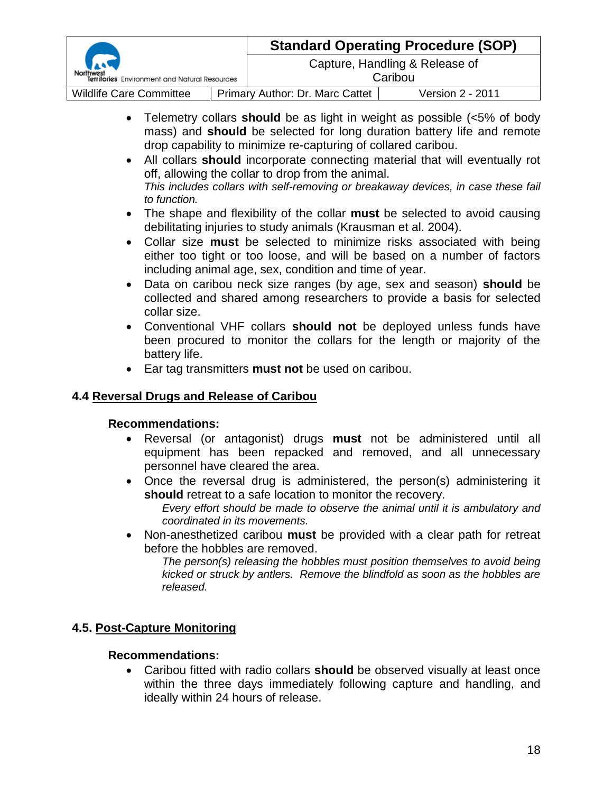|                                               |                                 | <b>Standard Operating Procedure (SOP)</b> |                                           |  |
|-----------------------------------------------|---------------------------------|-------------------------------------------|-------------------------------------------|--|
| Territories Environment and Natural Resources |                                 |                                           | Capture, Handling & Release of<br>Caribou |  |
| <b>Wildlife Care Committee</b>                | Primary Author: Dr. Marc Cattet |                                           | Version 2 - 2011                          |  |

- Telemetry collars **should** be as light in weight as possible (<5% of body mass) and **should** be selected for long duration battery life and remote drop capability to minimize re-capturing of collared caribou.
- All collars **should** incorporate connecting material that will eventually rot off, allowing the collar to drop from the animal. *This includes collars with self-removing or breakaway devices, in case these fail to function.*
- The shape and flexibility of the collar **must** be selected to avoid causing debilitating injuries to study animals (Krausman et al. 2004).
- Collar size **must** be selected to minimize risks associated with being either too tight or too loose, and will be based on a number of factors including animal age, sex, condition and time of year.
- Data on caribou neck size ranges (by age, sex and season) **should** be collected and shared among researchers to provide a basis for selected collar size.
- Conventional VHF collars **should not** be deployed unless funds have been procured to monitor the collars for the length or majority of the battery life.
- Ear tag transmitters **must not** be used on caribou.

## **4.4 Reversal Drugs and Release of Caribou**

## **Recommendations:**

- Reversal (or antagonist) drugs **must** not be administered until all equipment has been repacked and removed, and all unnecessary personnel have cleared the area.
- Once the reversal drug is administered, the person(s) administering it **should** retreat to a safe location to monitor the recovery.

*Every effort should be made to observe the animal until it is ambulatory and coordinated in its movements.*

 Non-anesthetized caribou **must** be provided with a clear path for retreat before the hobbles are removed.

*The person(s) releasing the hobbles must position themselves to avoid being kicked or struck by antlers. Remove the blindfold as soon as the hobbles are released.*

## **4.5. Post-Capture Monitoring**

## **Recommendations:**

 Caribou fitted with radio collars **should** be observed visually at least once within the three days immediately following capture and handling, and ideally within 24 hours of release.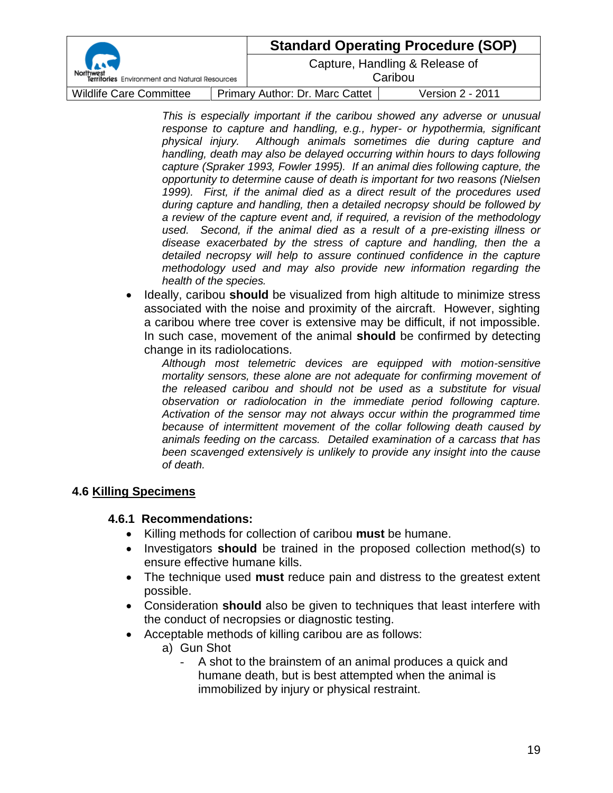|                                               |                                 | <b>Standard Operating Procedure (SOP)</b> |                                           |
|-----------------------------------------------|---------------------------------|-------------------------------------------|-------------------------------------------|
| Territories Environment and Natural Resources |                                 |                                           | Capture, Handling & Release of<br>Caribou |
| <b>Wildlife Care Committee</b>                | Primary Author: Dr. Marc Cattet |                                           | <b>Version 2 - 2011</b>                   |

*This is especially important if the caribou showed any adverse or unusual response to capture and handling, e.g., hyper- or hypothermia, significant physical injury. Although animals sometimes die during capture and handling, death may also be delayed occurring within hours to days following capture (Spraker 1993, Fowler 1995). If an animal dies following capture, the opportunity to determine cause of death is important for two reasons (Nielsen 1999). First, if the animal died as a direct result of the procedures used during capture and handling, then a detailed necropsy should be followed by a review of the capture event and, if required, a revision of the methodology used. Second, if the animal died as a result of a pre-existing illness or disease exacerbated by the stress of capture and handling, then the a detailed necropsy will help to assure continued confidence in the capture methodology used and may also provide new information regarding the health of the species.*

• Ideally, caribou **should** be visualized from high altitude to minimize stress associated with the noise and proximity of the aircraft. However, sighting a caribou where tree cover is extensive may be difficult, if not impossible. In such case, movement of the animal **should** be confirmed by detecting change in its radiolocations.

*Although most telemetric devices are equipped with motion-sensitive mortality sensors, these alone are not adequate for confirming movement of the released caribou and should not be used as a substitute for visual observation or radiolocation in the immediate period following capture. Activation of the sensor may not always occur within the programmed time because of intermittent movement of the collar following death caused by animals feeding on the carcass. Detailed examination of a carcass that has been scavenged extensively is unlikely to provide any insight into the cause of death.*

#### **4.6 Killing Specimens**

#### **4.6.1 Recommendations:**

- Killing methods for collection of caribou **must** be humane.
- Investigators **should** be trained in the proposed collection method(s) to ensure effective humane kills.
- The technique used **must** reduce pain and distress to the greatest extent possible.
- Consideration **should** also be given to techniques that least interfere with the conduct of necropsies or diagnostic testing.
- Acceptable methods of killing caribou are as follows:
	- a) Gun Shot
		- A shot to the brainstem of an animal produces a quick and humane death, but is best attempted when the animal is immobilized by injury or physical restraint.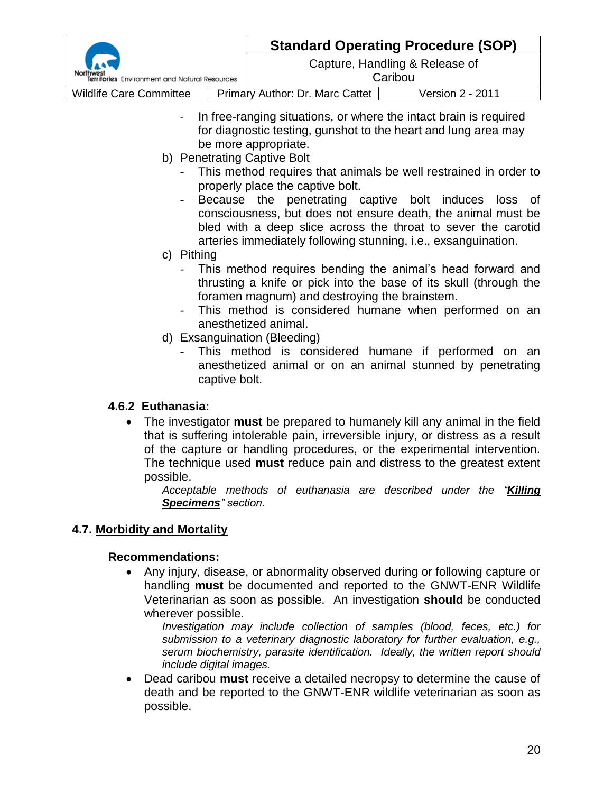|                                               |  | <b>Standard Operating Procedure (SOP)</b> |                                           |
|-----------------------------------------------|--|-------------------------------------------|-------------------------------------------|
| Territories Environment and Natural Resources |  |                                           | Capture, Handling & Release of<br>Caribou |
| <b>Wildlife Care Committee</b>                |  | <b>Primary Author: Dr. Marc Cattet</b>    | Version 2 - 2011                          |

- In free-ranging situations, or where the intact brain is required for diagnostic testing, gunshot to the heart and lung area may be more appropriate.
- b) Penetrating Captive Bolt
	- This method requires that animals be well restrained in order to properly place the captive bolt.
	- Because the penetrating captive bolt induces loss of consciousness, but does not ensure death, the animal must be bled with a deep slice across the throat to sever the carotid arteries immediately following stunning, i.e., exsanguination.
- c) Pithing
	- This method requires bending the animal's head forward and thrusting a knife or pick into the base of its skull (through the foramen magnum) and destroying the brainstem.
	- This method is considered humane when performed on an anesthetized animal.
- d) Exsanguination (Bleeding)
	- This method is considered humane if performed on an anesthetized animal or on an animal stunned by penetrating captive bolt.

## **4.6.2 Euthanasia:**

 The investigator **must** be prepared to humanely kill any animal in the field that is suffering intolerable pain, irreversible injury, or distress as a result of the capture or handling procedures, or the experimental intervention. The technique used **must** reduce pain and distress to the greatest extent possible.

*Acceptable methods of euthanasia are described under the "Killing Specimens" section.*

## **4.7. Morbidity and Mortality**

#### **Recommendations:**

 Any injury, disease, or abnormality observed during or following capture or handling **must** be documented and reported to the GNWT-ENR Wildlife Veterinarian as soon as possible. An investigation **should** be conducted wherever possible.

*Investigation may include collection of samples (blood, feces, etc.) for submission to a veterinary diagnostic laboratory for further evaluation, e.g., serum biochemistry, parasite identification. Ideally, the written report should include digital images.*

 Dead caribou **must** receive a detailed necropsy to determine the cause of death and be reported to the GNWT-ENR wildlife veterinarian as soon as possible.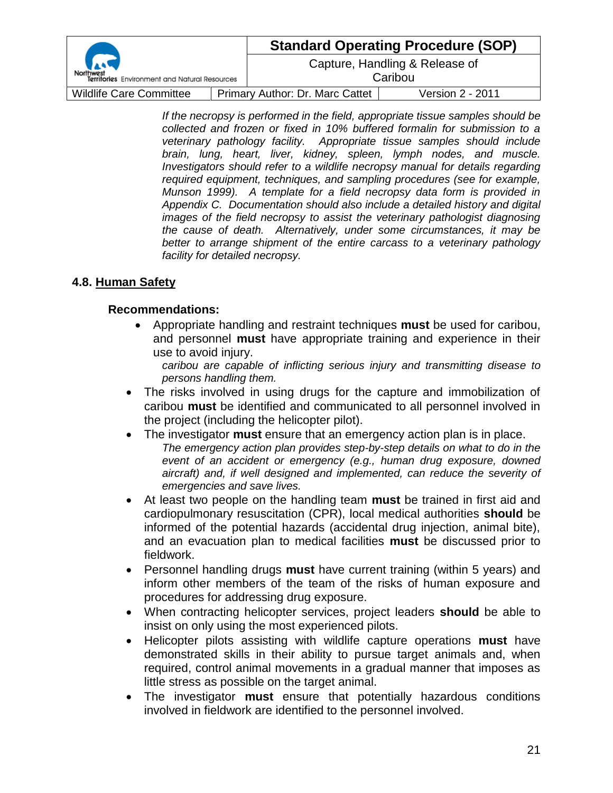| Territories Environment and Natural Resources |  | <b>Standard Operating Procedure (SOP)</b> |                  |
|-----------------------------------------------|--|-------------------------------------------|------------------|
|                                               |  | Capture, Handling & Release of<br>Caribou |                  |
| <b>Wildlife Care Committee</b>                |  | Primary Author: Dr. Marc Cattet           | Version 2 - 2011 |

*If the necropsy is performed in the field, appropriate tissue samples should be collected and frozen or fixed in 10% buffered formalin for submission to a veterinary pathology facility. Appropriate tissue samples should include brain, lung, heart, liver, kidney, spleen, lymph nodes, and muscle. Investigators should refer to a wildlife necropsy manual for details regarding required equipment, techniques, and sampling procedures (see for example, Munson 1999). A template for a field necropsy data form is provided in Appendix C. Documentation should also include a detailed history and digital images of the field necropsy to assist the veterinary pathologist diagnosing the cause of death. Alternatively, under some circumstances, it may be better to arrange shipment of the entire carcass to a veterinary pathology facility for detailed necropsy.*

#### **4.8. Human Safety**

#### **Recommendations:**

 Appropriate handling and restraint techniques **must** be used for caribou, and personnel **must** have appropriate training and experience in their use to avoid injury.

*caribou are capable of inflicting serious injury and transmitting disease to persons handling them.* 

- The risks involved in using drugs for the capture and immobilization of caribou **must** be identified and communicated to all personnel involved in the project (including the helicopter pilot).
- The investigator **must** ensure that an emergency action plan is in place. *The emergency action plan provides step-by-step details on what to do in the event of an accident or emergency (e.g., human drug exposure, downed aircraft) and, if well designed and implemented, can reduce the severity of emergencies and save lives.*
- At least two people on the handling team **must** be trained in first aid and cardiopulmonary resuscitation (CPR), local medical authorities **should** be informed of the potential hazards (accidental drug injection, animal bite), and an evacuation plan to medical facilities **must** be discussed prior to fieldwork.
- Personnel handling drugs **must** have current training (within 5 years) and inform other members of the team of the risks of human exposure and procedures for addressing drug exposure.
- When contracting helicopter services, project leaders **should** be able to insist on only using the most experienced pilots.
- Helicopter pilots assisting with wildlife capture operations **must** have demonstrated skills in their ability to pursue target animals and, when required, control animal movements in a gradual manner that imposes as little stress as possible on the target animal.
- The investigator **must** ensure that potentially hazardous conditions involved in fieldwork are identified to the personnel involved.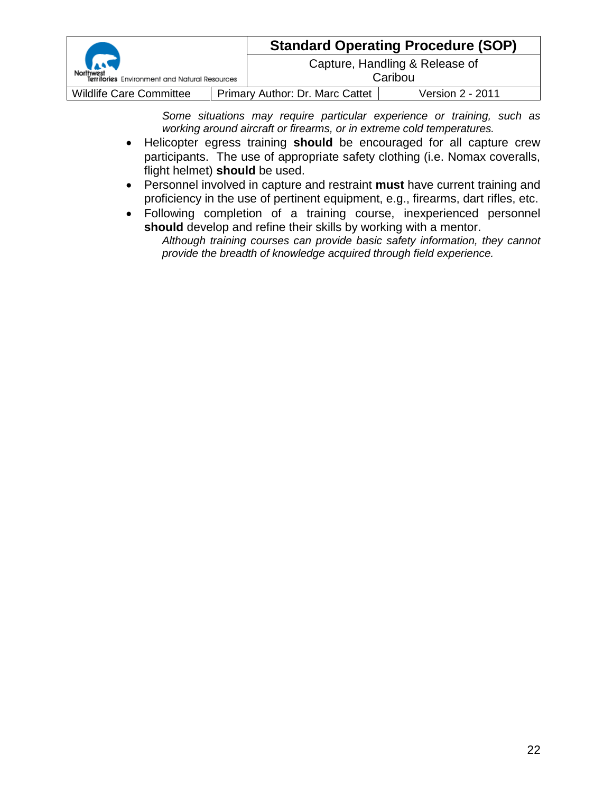| Territories Environment and Natural Resources |  | <b>Standard Operating Procedure (SOP)</b> |                  |
|-----------------------------------------------|--|-------------------------------------------|------------------|
|                                               |  | Capture, Handling & Release of<br>Caribou |                  |
| <b>Wildlife Care Committee</b>                |  | Primary Author: Dr. Marc Cattet           | Version 2 - 2011 |

*Some situations may require particular experience or training, such as working around aircraft or firearms, or in extreme cold temperatures.*

- Helicopter egress training **should** be encouraged for all capture crew participants. The use of appropriate safety clothing (i.e. Nomax coveralls, flight helmet) **should** be used.
- Personnel involved in capture and restraint **must** have current training and proficiency in the use of pertinent equipment, e.g., firearms, dart rifles, etc.
- Following completion of a training course, inexperienced personnel **should** develop and refine their skills by working with a mentor.

*Although training courses can provide basic safety information, they cannot provide the breadth of knowledge acquired through field experience.*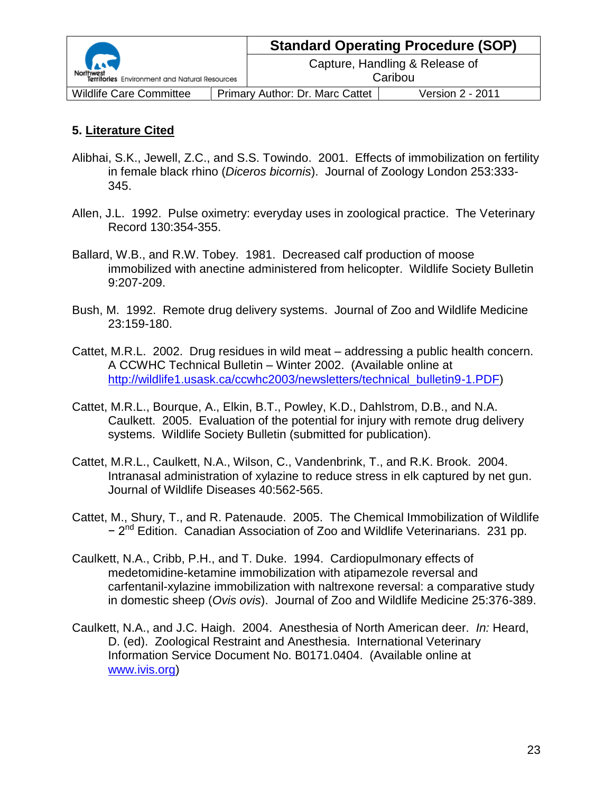|                                                                |  |                                 | <b>Standard Operating Procedure (SOP)</b> |
|----------------------------------------------------------------|--|---------------------------------|-------------------------------------------|
| $\rightarrow$<br>Territories Environment and Natural Resources |  |                                 | Capture, Handling & Release of<br>Caribou |
| <b>Wildlife Care Committee</b>                                 |  | Primary Author: Dr. Marc Cattet | Version 2 - 2011                          |

## **5. Literature Cited**

- Alibhai, S.K., Jewell, Z.C., and S.S. Towindo. 2001. Effects of immobilization on fertility in female black rhino (*Diceros bicornis*). Journal of Zoology London 253:333- 345.
- Allen, J.L. 1992. Pulse oximetry: everyday uses in zoological practice. The Veterinary Record 130:354-355.
- Ballard, W.B., and R.W. Tobey. 1981. Decreased calf production of moose immobilized with anectine administered from helicopter. Wildlife Society Bulletin 9:207-209.
- Bush, M. 1992. Remote drug delivery systems. Journal of Zoo and Wildlife Medicine 23:159-180.
- Cattet, M.R.L. 2002. Drug residues in wild meat addressing a public health concern. A CCWHC Technical Bulletin – Winter 2002. (Available online at [http://wildlife1.usask.ca/ccwhc2003/newsletters/technical\\_bulletin9-1.PDF\)](http://wildlife1.usask.ca/ccwhc2003/newsletters/technical_bulletin9-1.PDF)
- Cattet, M.R.L., Bourque, A., Elkin, B.T., Powley, K.D., Dahlstrom, D.B., and N.A. Caulkett. 2005. Evaluation of the potential for injury with remote drug delivery systems. Wildlife Society Bulletin (submitted for publication).
- Cattet, M.R.L., Caulkett, N.A., Wilson, C., Vandenbrink, T., and R.K. Brook. 2004. Intranasal administration of xylazine to reduce stress in elk captured by net gun. Journal of Wildlife Diseases 40:562-565.
- Cattet, M., Shury, T., and R. Patenaude. 2005. The Chemical Immobilization of Wildlife − 2<sup>nd</sup> Edition. Canadian Association of Zoo and Wildlife Veterinarians. 231 pp.
- Caulkett, N.A., Cribb, P.H., and T. Duke. 1994. Cardiopulmonary effects of medetomidine-ketamine immobilization with atipamezole reversal and carfentanil-xylazine immobilization with naltrexone reversal: a comparative study in domestic sheep (*Ovis ovis*). Journal of Zoo and Wildlife Medicine 25:376-389.
- Caulkett, N.A., and J.C. Haigh. 2004. Anesthesia of North American deer. *In:* Heard, D. (ed). Zoological Restraint and Anesthesia. International Veterinary Information Service Document No. B0171.0404. (Available online at [www.ivis.org\)](http://www.ivis.org/)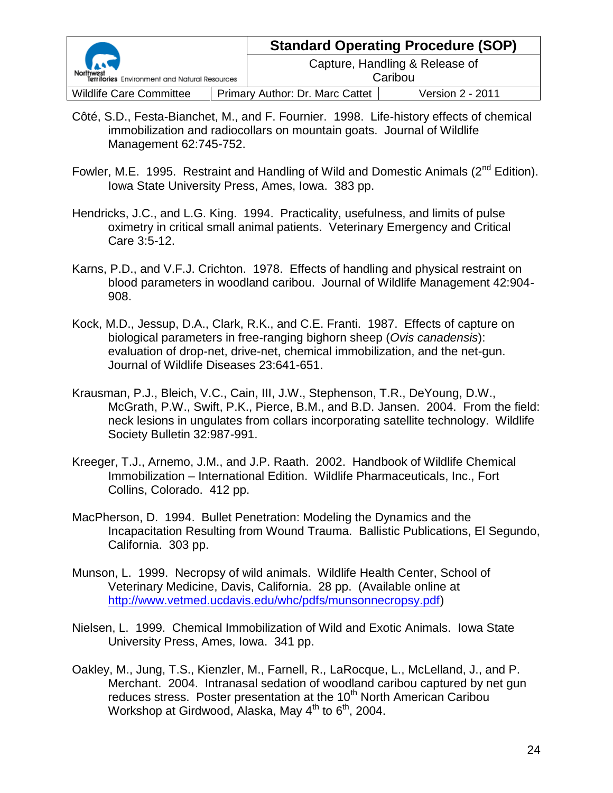| <b>Carl</b><br>Territories Environment and Natural Resources |  | <b>Standard Operating Procedure (SOP)</b> |                  |  |
|--------------------------------------------------------------|--|-------------------------------------------|------------------|--|
|                                                              |  | Capture, Handling & Release of<br>Caribou |                  |  |
| <b>Wildlife Care Committee</b>                               |  | Primary Author: Dr. Marc Cattet           | Version 2 - 2011 |  |

- Côté, S.D., Festa-Bianchet, M., and F. Fournier. 1998. Life-history effects of chemical immobilization and radiocollars on mountain goats. Journal of Wildlife Management 62:745-752.
- Fowler, M.E. 1995. Restraint and Handling of Wild and Domestic Animals (2<sup>nd</sup> Edition). Iowa State University Press, Ames, Iowa. 383 pp.
- Hendricks, J.C., and L.G. King. 1994. Practicality, usefulness, and limits of pulse oximetry in critical small animal patients. Veterinary Emergency and Critical Care 3:5-12.
- Karns, P.D., and V.F.J. Crichton. 1978. Effects of handling and physical restraint on blood parameters in woodland caribou. Journal of Wildlife Management 42:904- 908.
- Kock, M.D., Jessup, D.A., Clark, R.K., and C.E. Franti. 1987. Effects of capture on biological parameters in free-ranging bighorn sheep (*Ovis canadensis*): evaluation of drop-net, drive-net, chemical immobilization, and the net-gun. Journal of Wildlife Diseases 23:641-651.
- Krausman, P.J., Bleich, V.C., Cain, III, J.W., Stephenson, T.R., DeYoung, D.W., McGrath, P.W., Swift, P.K., Pierce, B.M., and B.D. Jansen. 2004. From the field: neck lesions in ungulates from collars incorporating satellite technology. Wildlife Society Bulletin 32:987-991.
- Kreeger, T.J., Arnemo, J.M., and J.P. Raath. 2002. Handbook of Wildlife Chemical Immobilization – International Edition. Wildlife Pharmaceuticals, Inc., Fort Collins, Colorado. 412 pp.
- MacPherson, D. 1994. Bullet Penetration: Modeling the Dynamics and the Incapacitation Resulting from Wound Trauma. Ballistic Publications, El Segundo, California. 303 pp.
- Munson, L. 1999. Necropsy of wild animals. Wildlife Health Center, School of Veterinary Medicine, Davis, California. 28 pp. (Available online at [http://www.vetmed.ucdavis.edu/whc/pdfs/munsonnecropsy.pdf\)](http://www.vetmed.ucdavis.edu/whc/pdfs/munsonnecropsy.pdf)
- Nielsen, L. 1999. Chemical Immobilization of Wild and Exotic Animals. Iowa State University Press, Ames, Iowa. 341 pp.
- Oakley, M., Jung, T.S., Kienzler, M., Farnell, R., LaRocque, L., McLelland, J., and P. Merchant. 2004. Intranasal sedation of woodland caribou captured by net gun reduces stress. Poster presentation at the 10<sup>th</sup> North American Caribou Workshop at Girdwood, Alaska, May  $4^{th}$  to  $6^{th}$ , 2004.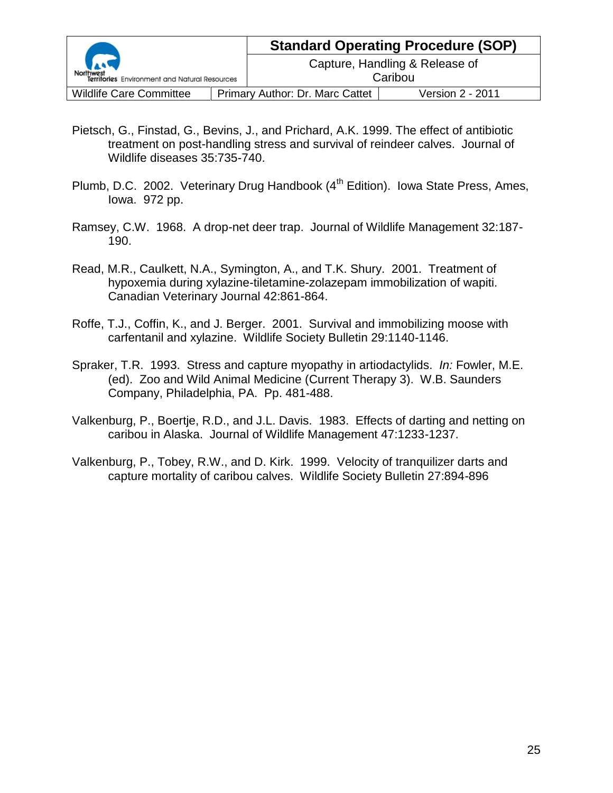|                                               |  | <b>Standard Operating Procedure (SOP)</b> |                  |  |  |
|-----------------------------------------------|--|-------------------------------------------|------------------|--|--|
| Territories Environment and Natural Resources |  | Capture, Handling & Release of<br>Caribou |                  |  |  |
| <b>Wildlife Care Committee</b>                |  | <b>Primary Author: Dr. Marc Cattet</b>    | Version 2 - 2011 |  |  |

- Pietsch, G., Finstad, G., Bevins, J., and Prichard, A.K. 1999. The effect of antibiotic treatment on post-handling stress and survival of reindeer calves. Journal of Wildlife diseases 35:735-740.
- Plumb, D.C. 2002. Veterinary Drug Handbook (4<sup>th</sup> Edition). Iowa State Press, Ames, Iowa. 972 pp.
- Ramsey, C.W. 1968. A drop-net deer trap. Journal of Wildlife Management 32:187- 190.
- Read, M.R., Caulkett, N.A., Symington, A., and T.K. Shury. 2001. Treatment of hypoxemia during xylazine-tiletamine-zolazepam immobilization of wapiti. Canadian Veterinary Journal 42:861-864.
- Roffe, T.J., Coffin, K., and J. Berger. 2001. Survival and immobilizing moose with carfentanil and xylazine. Wildlife Society Bulletin 29:1140-1146.
- Spraker, T.R. 1993. Stress and capture myopathy in artiodactylids. *In:* Fowler, M.E. (ed). Zoo and Wild Animal Medicine (Current Therapy 3). W.B. Saunders Company, Philadelphia, PA. Pp. 481-488.
- Valkenburg, P., Boertje, R.D., and J.L. Davis. 1983. Effects of darting and netting on caribou in Alaska. Journal of Wildlife Management 47:1233-1237.
- Valkenburg, P., Tobey, R.W., and D. Kirk. 1999. Velocity of tranquilizer darts and capture mortality of caribou calves. Wildlife Society Bulletin 27:894-896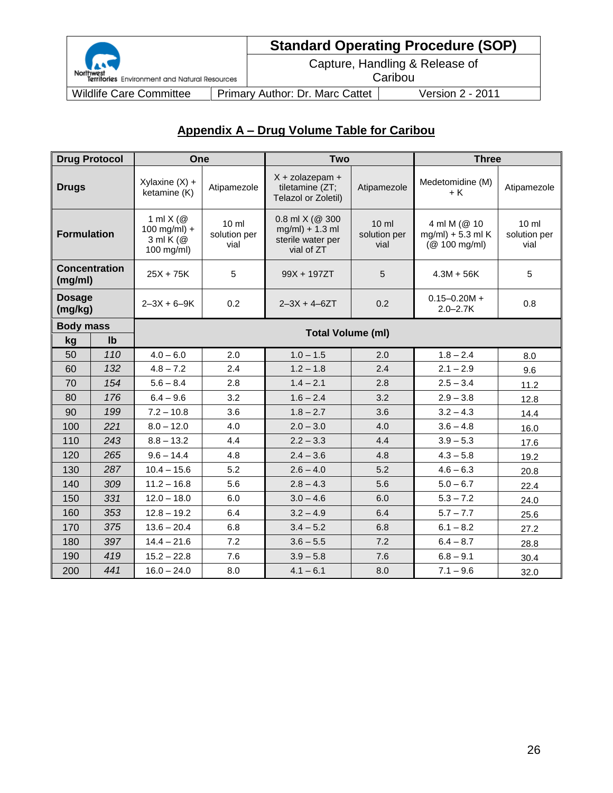

# **Standard Operating Procedure (SOP)**

Capture, Handling & Release of **Caribou** 

Northwest<br>Territories Environment and Natural Resources

Wildlife Care Committee | Primary Author: Dr. Marc Cattet | Version 2 - 2011

## **Appendix A – Drug Volume Table for Caribou**

|                          | <b>Drug Protocol</b>                                                              | One                              |                                         | <b>Two</b>                                                                 |                                         | <b>Three</b>                                          |                                         |  |
|--------------------------|-----------------------------------------------------------------------------------|----------------------------------|-----------------------------------------|----------------------------------------------------------------------------|-----------------------------------------|-------------------------------------------------------|-----------------------------------------|--|
| <b>Drugs</b>             |                                                                                   | Xylaxine $(X)$ +<br>ketamine (K) | Atipamezole                             | $X + zolazepam +$<br>tiletamine (ZT;<br>Telazol or Zoletil)                | Atipamezole                             | Medetomidine (M)<br>+ K                               | Atipamezole                             |  |
|                          | 1 ml $X$ ( $@$<br>$100$ mg/ml) +<br><b>Formulation</b><br>3 ml K (@<br>100 mg/ml) |                                  | $10 \mathrm{m}$<br>solution per<br>vial | $0.8$ ml X (@ 300<br>$mg/ml$ ) + 1.3 ml<br>sterile water per<br>vial of ZT | $10 \mathrm{m}$<br>solution per<br>vial | 4 ml M (@ 10<br>$mg/ml$ ) + 5.3 ml K<br>(@ 100 mg/ml) | $10 \mathrm{m}$<br>solution per<br>vial |  |
| (mg/ml)                  | <b>Concentration</b>                                                              | $25X + 75K$                      | 5                                       | 99X + 197ZT                                                                | 5                                       | $4.3M + 56K$                                          | 5                                       |  |
| <b>Dosage</b><br>(mg/kg) | $2 - 3X + 6 - 9K$                                                                 |                                  | 0.2                                     | $2 - 3X + 4 - 6ZT$                                                         | 0.2                                     | $0.15 - 0.20M +$<br>$2.0 - 2.7K$                      | 0.8                                     |  |
| <b>Body mass</b>         |                                                                                   |                                  |                                         |                                                                            |                                         |                                                       |                                         |  |
| kg                       | I <sub>b</sub>                                                                    |                                  |                                         | <b>Total Volume (ml)</b>                                                   |                                         |                                                       |                                         |  |
| 50                       | 110                                                                               | $4.0 - 6.0$                      | 2.0                                     | $1.0 - 1.5$                                                                | 2.0                                     | $1.8 - 2.4$                                           | 8.0                                     |  |
| 60                       | 132                                                                               | $4.8 - 7.2$                      | 2.4                                     | $1.2 - 1.8$                                                                | 2.4                                     | $2.1 - 2.9$                                           | 9.6                                     |  |
| 70                       | 154                                                                               | $5.6 - 8.4$                      | 2.8                                     | $1.4 - 2.1$                                                                | 2.8                                     | $2.5 - 3.4$                                           | 11.2                                    |  |
| 80                       | 176                                                                               | $6.4 - 9.6$                      | 3.2                                     | $1.6 - 2.4$                                                                | 3.2                                     | $2.9 - 3.8$                                           | 12.8                                    |  |
| 90                       | 199                                                                               | $7.2 - 10.8$                     | 3.6                                     | $1.8 - 2.7$                                                                | 3.6                                     | $3.2 - 4.3$                                           | 14.4                                    |  |
| 100                      | 221                                                                               | $8.0 - 12.0$                     | 4.0                                     | $2.0 - 3.0$                                                                | 4.0                                     | $3.6 - 4.8$                                           | 16.0                                    |  |
| 110                      | 243                                                                               | $8.8 - 13.2$                     | 4.4                                     | $2.2 - 3.3$                                                                | 4.4                                     | $3.9 - 5.3$                                           | 17.6                                    |  |
| 120                      | 265                                                                               | $9.6 - 14.4$                     | 4.8                                     | $2.4 - 3.6$                                                                | 4.8                                     | $4.3 - 5.8$                                           | 19.2                                    |  |
| 130                      | 287                                                                               | $10.4 - 15.6$                    | 5.2                                     | $2.6 - 4.0$                                                                | 5.2                                     | $4.6 - 6.3$                                           | 20.8                                    |  |
| 140                      | 309                                                                               | $11.2 - 16.8$                    | 5.6                                     | $2.8 - 4.3$                                                                | 5.6                                     | $5.0 - 6.7$                                           | 22.4                                    |  |
| 150                      | 331                                                                               | $12.0 - 18.0$                    | 6.0                                     | $3.0 - 4.6$                                                                | 6.0                                     | $5.3 - 7.2$                                           | 24.0                                    |  |
| 160                      | 353                                                                               | $12.8 - 19.2$                    | 6.4                                     | $3.2 - 4.9$                                                                | 6.4                                     | $5.7 - 7.7$                                           | 25.6                                    |  |
| 170                      | 375                                                                               | $13.6 - 20.4$                    | 6.8                                     | $3.4 - 5.2$                                                                | 6.8                                     | $6.1 - 8.2$                                           | 27.2                                    |  |
| 180                      | 397                                                                               | $14.4 - 21.6$                    | 7.2                                     | $3.6 - 5.5$                                                                | 7.2                                     | $6.4 - 8.7$                                           | 28.8                                    |  |
| 190                      | 419                                                                               | $15.2 - 22.8$                    | 7.6                                     | $3.9 - 5.8$                                                                | 7.6                                     | $6.8 - 9.1$                                           | 30.4                                    |  |
| 200                      | 441                                                                               | $16.0 - 24.0$                    | 8.0                                     | $4.1 - 6.1$                                                                | 8.0                                     | $7.1 - 9.6$                                           | 32.0                                    |  |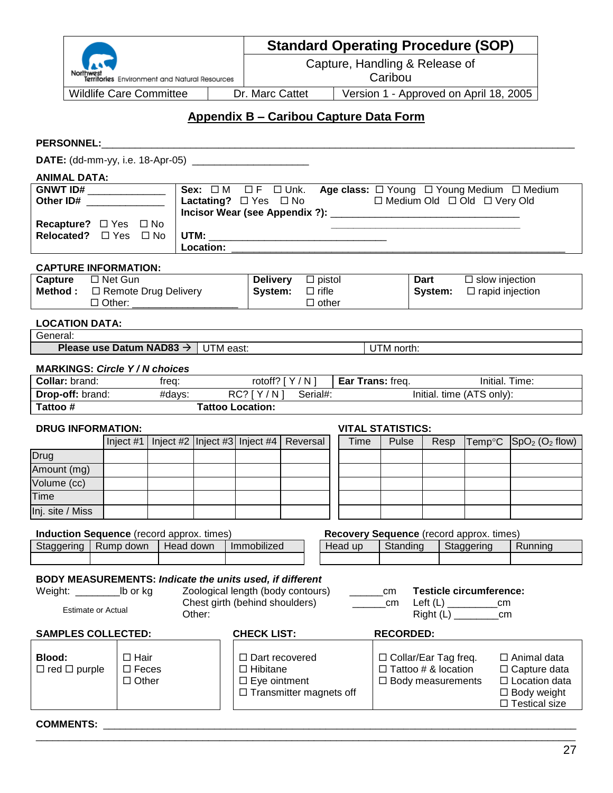|                                                                     |                                                                  |           |                                                                                                                                                                                                                                |                                |                              |  |                                  |            |             | <b>Standard Operating Procedure (SOP)</b>             |                                                              |
|---------------------------------------------------------------------|------------------------------------------------------------------|-----------|--------------------------------------------------------------------------------------------------------------------------------------------------------------------------------------------------------------------------------|--------------------------------|------------------------------|--|----------------------------------|------------|-------------|-------------------------------------------------------|--------------------------------------------------------------|
|                                                                     |                                                                  |           |                                                                                                                                                                                                                                | Capture, Handling & Release of |                              |  |                                  |            |             |                                                       |                                                              |
|                                                                     | Territories Environment and Natural Resources                    |           |                                                                                                                                                                                                                                |                                |                              |  |                                  | Caribou    |             |                                                       |                                                              |
|                                                                     | <b>Wildlife Care Committee</b>                                   |           |                                                                                                                                                                                                                                | Dr. Marc Cattet                |                              |  |                                  |            |             | Version 1 - Approved on April 18, 2005                |                                                              |
|                                                                     |                                                                  |           | <b>Appendix B - Caribou Capture Data Form</b>                                                                                                                                                                                  |                                |                              |  |                                  |            |             |                                                       |                                                              |
| <b>PERSONNEL:</b>                                                   |                                                                  |           |                                                                                                                                                                                                                                |                                |                              |  |                                  |            |             |                                                       |                                                              |
| <b>DATE:</b> (dd-mm-yy, i.e. 18-Apr-05) ___________________________ |                                                                  |           |                                                                                                                                                                                                                                |                                |                              |  |                                  |            |             |                                                       |                                                              |
| <b>ANIMAL DATA:</b>                                                 |                                                                  |           |                                                                                                                                                                                                                                |                                |                              |  |                                  |            |             |                                                       |                                                              |
| <b>GNWT ID#</b> ______________                                      |                                                                  |           |                                                                                                                                                                                                                                |                                |                              |  |                                  |            |             |                                                       | Sex: □M □F □ Unk. Age class: □ Young □ Young Medium □ Medium |
| Other ID# ______________                                            |                                                                  |           |                                                                                                                                                                                                                                |                                |                              |  |                                  |            |             | Lactating? □ Yes □ No □ 回 Medium Old □ Old □ Very Old |                                                              |
| Recapture? □ Yes □ No                                               |                                                                  |           |                                                                                                                                                                                                                                |                                |                              |  |                                  |            |             |                                                       |                                                              |
| <b>Relocated?</b> □ Yes □ No                                        |                                                                  |           |                                                                                                                                                                                                                                |                                |                              |  |                                  |            |             |                                                       |                                                              |
|                                                                     |                                                                  |           | <b>Location:</b>                                                                                                                                                                                                               |                                |                              |  |                                  |            |             |                                                       |                                                              |
| <b>CAPTURE INFORMATION:</b>                                         |                                                                  |           |                                                                                                                                                                                                                                |                                |                              |  |                                  |            |             |                                                       |                                                              |
| Capture □ Net Gun                                                   |                                                                  |           |                                                                                                                                                                                                                                | <b>Delivery</b>                | $\Box$ pistol                |  |                                  |            | <b>Dart</b> | $\Box$ slow injection                                 |                                                              |
| <b>Method :</b> □ Remote Drug Delivery                              | □ Other: _____________________                                   |           |                                                                                                                                                                                                                                | System:                        | $\Box$ rifle<br>$\Box$ other |  |                                  |            | System:     | $\Box$ rapid injection                                |                                                              |
|                                                                     |                                                                  |           |                                                                                                                                                                                                                                |                                |                              |  |                                  |            |             |                                                       |                                                              |
| <b>LOCATION DATA:</b>                                               |                                                                  |           |                                                                                                                                                                                                                                |                                |                              |  |                                  |            |             |                                                       |                                                              |
| General:                                                            | <b>Please use Datum NAD83 <math>\rightarrow</math> UTM east:</b> |           |                                                                                                                                                                                                                                |                                |                              |  |                                  | UTM north: |             |                                                       |                                                              |
|                                                                     |                                                                  |           |                                                                                                                                                                                                                                |                                |                              |  |                                  |            |             |                                                       |                                                              |
| <b>MARKINGS: Circle Y/N choices</b>                                 |                                                                  |           |                                                                                                                                                                                                                                |                                |                              |  |                                  |            |             |                                                       |                                                              |
| Collar: brand:                                                      |                                                                  |           | freq: the contract of the contract of the contract of the contract of the contract of the contract of the contract of the contract of the contract of the contract of the contract of the contract of the contract of the cont |                                | rotoff? [ Y / N ]            |  | Ear Trans: freq.                 |            |             | Initial. Time:                                        |                                                              |
| <b>Drop-off:</b> brand:<br>Tattoo#                                  |                                                                  |           | #days: RC? [Y/N] Serial#:<br><b>Tattoo Location:</b>                                                                                                                                                                           |                                |                              |  |                                  |            |             | Initial. time (ATS only):                             |                                                              |
|                                                                     |                                                                  |           |                                                                                                                                                                                                                                |                                |                              |  |                                  |            |             |                                                       |                                                              |
| <b>DRUG INFORMATION:</b>                                            |                                                                  |           | Inject #2 Inject #3 Inject #4   Reversal                                                                                                                                                                                       |                                |                              |  | <b>VITAL STATISTICS:</b><br>Time | Pulse      |             |                                                       |                                                              |
|                                                                     | Inject #1                                                        |           |                                                                                                                                                                                                                                |                                |                              |  |                                  |            | Resp        |                                                       | $\text{Temp}^{\circ}C$ $\text{SpO}_2$ (O <sub>2</sub> flow)  |
| Drug<br>Amount (mg)                                                 |                                                                  |           |                                                                                                                                                                                                                                |                                |                              |  |                                  |            |             |                                                       |                                                              |
| Volume (cc)                                                         |                                                                  |           |                                                                                                                                                                                                                                |                                |                              |  |                                  |            |             |                                                       |                                                              |
| <b>Time</b>                                                         |                                                                  |           |                                                                                                                                                                                                                                |                                |                              |  |                                  |            |             |                                                       |                                                              |
| Inj. site / Miss                                                    |                                                                  |           |                                                                                                                                                                                                                                |                                |                              |  |                                  |            |             |                                                       |                                                              |
| Induction Sequence (record approx. times)                           |                                                                  |           |                                                                                                                                                                                                                                |                                |                              |  |                                  |            |             | Recovery Sequence (record approx. times)              |                                                              |
| Staggering                                                          | Rump down                                                        | Head down |                                                                                                                                                                                                                                | Immobilized                    |                              |  | Head up                          | Standing   |             | Staggering                                            | Running                                                      |

#### **BODY MEASUREMENTS:** *Indicate the units used, if different* Weight: \_\_\_\_\_\_\_\_\_\_\_\_\_\_\_\_lb or kg

Zoological length (body contours) \_\_\_\_\_\_cm Chest girth (behind shoulders) \_\_\_\_\_\_\_\_\_\_\_cm Other: **Testicle circumference:**

# Left (L) \_\_\_\_\_\_\_\_\_cm

Right (L) \_\_\_\_\_\_\_\_cm

#### **SAMPLES COLLECTED: CHECK LIST: RECORDED:**

Estimate or Actual

| Blood:<br>$\Box$ red $\Box$ purple | $\square$ Hair<br>$\Box$ Feces<br>□ Other |  | □ Dart recovered<br>$\Box$ Hibitane<br>$\Box$ Eye ointment<br>$\Box$ Transmitter magnets off | $\Box$ Collar/Ear Tag freq.<br>$\Box$ Tattoo # & location<br>$\Box$ Body measurements | $\Box$ Animal data<br>$\Box$ Capture data<br>$\Box$ Location data<br>$\Box$ Body weight<br>$\Box$ Testical size |
|------------------------------------|-------------------------------------------|--|----------------------------------------------------------------------------------------------|---------------------------------------------------------------------------------------|-----------------------------------------------------------------------------------------------------------------|
|------------------------------------|-------------------------------------------|--|----------------------------------------------------------------------------------------------|---------------------------------------------------------------------------------------|-----------------------------------------------------------------------------------------------------------------|

 $\Box$ 

## **COMMENTS:** \_\_\_\_\_\_\_\_\_\_\_\_\_\_\_\_\_\_\_\_\_\_\_\_\_\_\_\_\_\_\_\_\_\_\_\_\_\_\_\_\_\_\_\_\_\_\_\_\_\_\_\_\_\_\_\_\_\_\_\_\_\_\_\_\_\_\_\_\_\_\_\_\_\_\_\_\_\_\_\_\_\_\_\_\_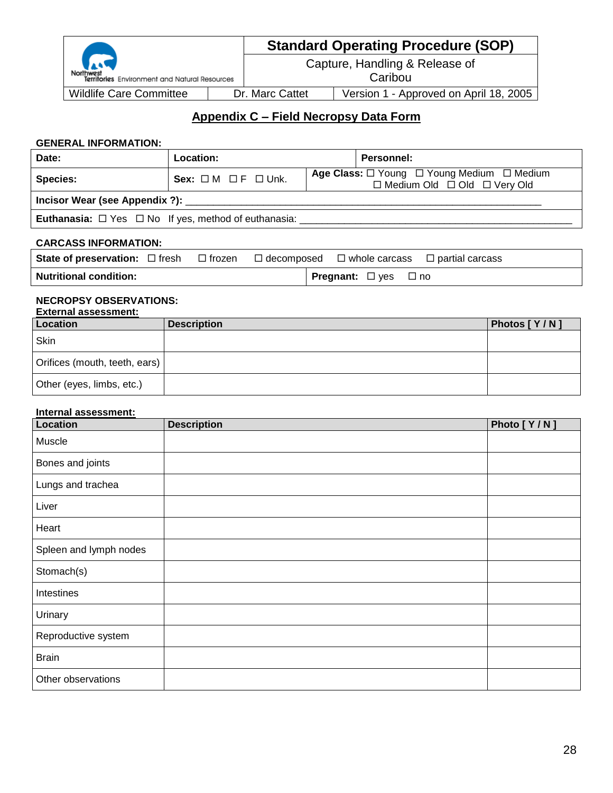|                                               | <b>Standard Operating Procedure (SOP)</b> |                                        |  |
|-----------------------------------------------|-------------------------------------------|----------------------------------------|--|
| Territories Environment and Natural Resources | Capture, Handling & Release of<br>Caribou |                                        |  |
|                                               |                                           |                                        |  |
| <b>Wildlife Care Committee</b>                | Dr. Marc Cattet                           | Version 1 - Approved on April 18, 2005 |  |

## **Appendix C – Field Necropsy Data Form**

#### **GENERAL INFORMATION:**

| Date:                                                                 | Location:                          | Personnel:                                                                                                         |
|-----------------------------------------------------------------------|------------------------------------|--------------------------------------------------------------------------------------------------------------------|
| <b>Species:</b>                                                       | Sex: $\Box M$ $\Box F$ $\Box$ Unk. | Age Class: $\square$ Young $\square$ Young Medium $\square$ Medium<br>$\Box$ Medium Old $\Box$ Old $\Box$ Very Old |
| Incisor Wear (see Appendix ?):                                        |                                    |                                                                                                                    |
| <b>Euthanasia:</b> $\Box$ Yes $\Box$ No If yes, method of euthanasia: |                                    |                                                                                                                    |

#### **CARCASS INFORMATION:**

| <b>State of preservation:</b> $\Box$ fresh $\Box$ frozen $\Box$ decomposed $\Box$ whole carcass $\Box$ partial carcass |  |                                       |  |
|------------------------------------------------------------------------------------------------------------------------|--|---------------------------------------|--|
| <b>Nutritional condition:</b>                                                                                          |  | <b>Pregnant:</b> $\Box$ yes $\Box$ no |  |

#### **NECROPSY OBSERVATIONS: External assessment:**

| EXIBITID DI ASSESSITIBITI.    |                    |              |  |  |  |  |  |
|-------------------------------|--------------------|--------------|--|--|--|--|--|
| Location                      | <b>Description</b> | Photos [Y/N] |  |  |  |  |  |
| Skin                          |                    |              |  |  |  |  |  |
| Orifices (mouth, teeth, ears) |                    |              |  |  |  |  |  |
| Other (eyes, limbs, etc.)     |                    |              |  |  |  |  |  |

#### **Internal assessment:**

| Location               | <b>Description</b> | Photo [Y/N] |
|------------------------|--------------------|-------------|
| Muscle                 |                    |             |
| Bones and joints       |                    |             |
| Lungs and trachea      |                    |             |
| Liver                  |                    |             |
| Heart                  |                    |             |
| Spleen and lymph nodes |                    |             |
| Stomach(s)             |                    |             |
| Intestines             |                    |             |
| Urinary                |                    |             |
| Reproductive system    |                    |             |
| <b>Brain</b>           |                    |             |
| Other observations     |                    |             |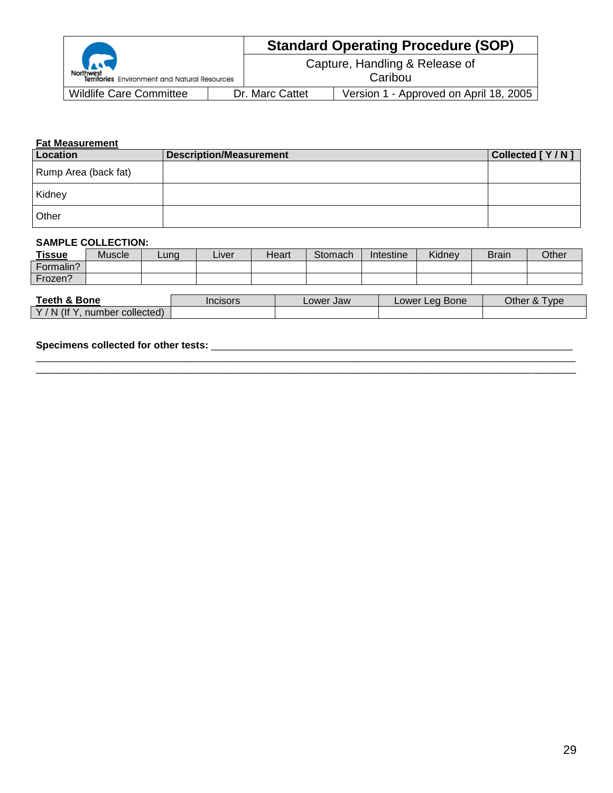|                                                                   |                                           | <b>Standard Operating Procedure (SOP)</b> |  |
|-------------------------------------------------------------------|-------------------------------------------|-------------------------------------------|--|
| <b>Reduction</b><br>Territories Environment and Natural Resources | Capture, Handling & Release of<br>Caribou |                                           |  |
| <b>Wildlife Care Committee</b>                                    | Dr. Marc Cattet                           | Version 1 - Approved on April 18, 2005    |  |

#### **Fat Measurement**

| Location             | <b>Description/Measurement</b> | Collected [Y/N] |
|----------------------|--------------------------------|-----------------|
| Rump Area (back fat) |                                |                 |
| Kidney               |                                |                 |
| Other                |                                |                 |

#### **SAMPLE COLLECTION:**

| <b>Tissue</b> | <b>Muscle</b> | Lung | ∟iver | Heart | Stomach | Intestine | Kidney | <b>Brain</b> | Other |
|---------------|---------------|------|-------|-------|---------|-----------|--------|--------------|-------|
| Formalin?     |               |      |       |       |         |           |        |              |       |
| Frozen?       |               |      |       |       |         |           |        |              |       |

| Teeth &<br>& Bone                                                 | Incisors | Lower Jaw | Bone<br>Lower'<br>Lea | Other<br>vpe<br>$\sim$ |
|-------------------------------------------------------------------|----------|-----------|-----------------------|------------------------|
| $\mathcal{A}$ (If $\mathcal{Y}$<br>N<br>collected)<br>nber<br>านท |          |           |                       |                        |

 $\Box$ 

#### **Specimens collected for other tests:** \_\_\_\_\_\_\_\_\_\_\_\_\_\_\_\_\_\_\_\_\_\_\_\_\_\_\_\_\_\_\_\_\_\_\_\_\_\_\_\_\_\_\_\_\_\_\_\_\_\_\_\_\_\_\_\_\_\_\_\_\_\_\_\_\_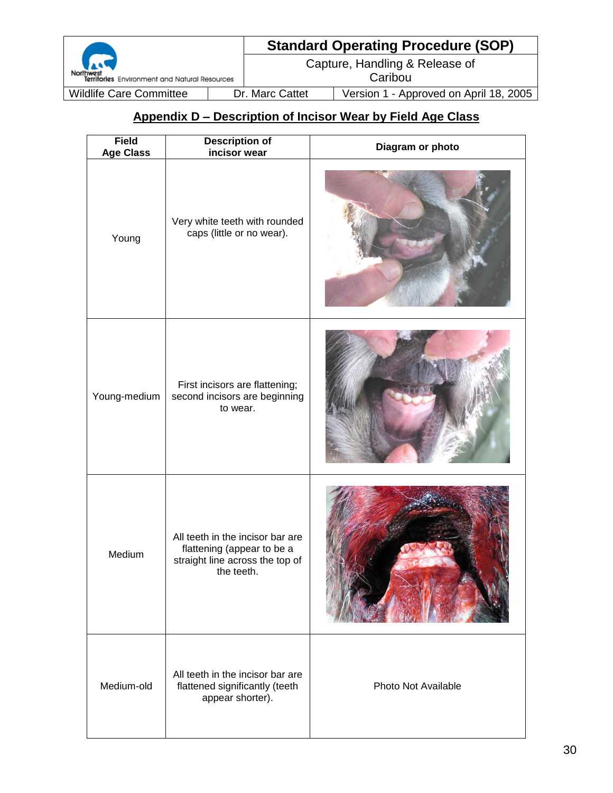# **Standard Operating Procedure (SOP)**

Capture, Handling & Release of

**Caribou** 

Wildlife Care Committee | Dr. Marc Cattet | Version 1 - Approved on April 18, 2005

# **Appendix D – Description of Incisor Wear by Field Age Class**

| <b>Field</b><br><b>Age Class</b>                                                                     | <b>Description of</b><br>incisor wear                                                                           | Diagram or photo    |  |  |
|------------------------------------------------------------------------------------------------------|-----------------------------------------------------------------------------------------------------------------|---------------------|--|--|
| Young                                                                                                | Very white teeth with rounded<br>caps (little or no wear).                                                      |                     |  |  |
| Young-medium                                                                                         | First incisors are flattening;<br>second incisors are beginning<br>to wear.                                     |                     |  |  |
| Medium                                                                                               | All teeth in the incisor bar are<br>flattening (appear to be a<br>straight line across the top of<br>the teeth. |                     |  |  |
| All teeth in the incisor bar are<br>Medium-old<br>flattened significantly (teeth<br>appear shorter). |                                                                                                                 | Photo Not Available |  |  |